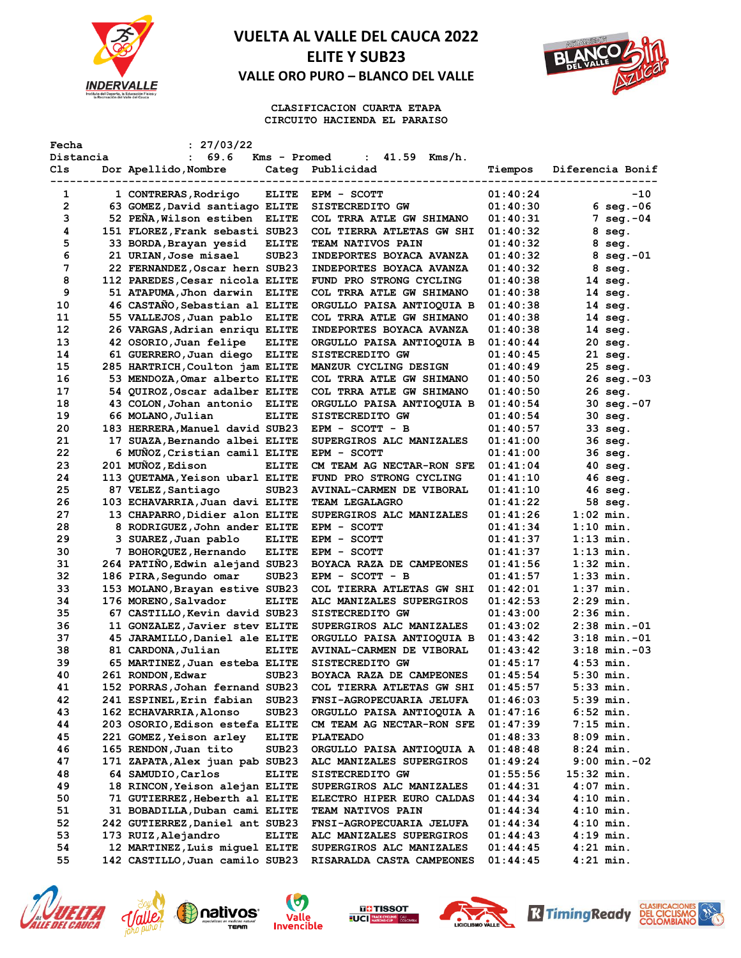



**CLASIFICACION CUARTA ETAPA CIRCUITO HACIENDA EL PARAISO**

| Fecha     | : 27/03/22                      |                   |                                 |          |                       |
|-----------|---------------------------------|-------------------|---------------------------------|----------|-----------------------|
| Distancia | 69.6<br>$\ddot{\phantom{a}}$    | Kms - Promed      | : 41.59<br>Kms/h.               |          |                       |
| Cls       | Dor Apellido, Nombre            | Categ             | Publicidad                      | Tiempos  | Diferencia Bonif      |
|           |                                 |                   |                                 |          | ----------            |
| 1         | 1 CONTRERAS, Rodrigo            | <b>ELITE</b>      | EPM - SCOTT                     | 01:40:24 | -10                   |
| 2         | 63 GOMEZ, David santiago ELITE  |                   | SISTECREDITO GW                 | 01:40:30 | $6 \text{ seg.} -06$  |
| 3         | 52 PEÑA, Wilson estiben         | <b>ELITE</b>      | COL TRRA ATLE GW SHIMANO        | 01:40:31 | $7 \text{ seq. } -04$ |
| 4         | 151 FLOREZ, Frank sebasti SUB23 |                   | COL TIERRA ATLETAS GW SHI       | 01:40:32 | 8 seg.                |
| 5         | 33 BORDA, Brayan yesid          | <b>ELITE</b>      | <b>TEAM NATIVOS PAIN</b>        | 01:40:32 | 8 seg.                |
| 6         | 21 URIAN, Jose misael           | SUB <sub>23</sub> | INDEPORTES BOYACA AVANZA        | 01:40:32 | 8 seg.-01             |
| 7         | 22 FERNANDEZ, Oscar hern SUB23  |                   | INDEPORTES BOYACA AVANZA        | 01:40:32 | 8 seg.                |
| 8         | 112 PAREDES, Cesar nicola ELITE |                   | FUND PRO STRONG CYCLING         | 01:40:38 | 14 seg.               |
| 9         | 51 ATAPUMA, Jhon darwin         | <b>ELITE</b>      | COL TRRA ATLE GW SHIMANO        | 01:40:38 | 14 seg.               |
|           | 46 CASTANO, Sebastian al ELITE  |                   | ORGULLO PAISA ANTIOQUIA B       |          |                       |
| 10        |                                 |                   |                                 | 01:40:38 | 14 seg.               |
| 11        | 55 VALLEJOS, Juan pablo         | <b>ELITE</b>      | COL TRRA ATLE GW SHIMANO        | 01:40:38 | $14 \text{ seg.}$     |
| 12        | 26 VARGAS, Adrian enriqu ELITE  |                   | INDEPORTES BOYACA AVANZA        | 01:40:38 | 14 seg.               |
| 13        | 42 OSORIO, Juan felipe          | <b>ELITE</b>      | ORGULLO PAISA ANTIOQUIA B       | 01:40:44 | $20$ seg.             |
| 14        | 61 GUERRERO, Juan diego ELITE   |                   | SISTECREDITO GW                 | 01:40:45 | 21 seg.               |
| 15        | 285 HARTRICH, Coulton jam ELITE |                   | MANZUR CYCLING DESIGN           | 01:40:49 | 25 seg.               |
| 16        | 53 MENDOZA, Omar alberto ELITE  |                   | COL TRRA ATLE GW SHIMANO        | 01:40:50 | $26 \text{ seq.} -03$ |
| 17        | 54 QUIROZ, Oscar adalber ELITE  |                   | COL TRRA ATLE GW SHIMANO        | 01:40:50 | 26 seg.               |
| 18        | 43 COLON, Johan antonio         | <b>ELITE</b>      | ORGULLO PAISA ANTIOQUIA B       | 01:40:54 | 30 seg.-07            |
| 19        | 66 MOLANO, Julian               | <b>ELITE</b>      | SISTECREDITO GW                 | 01:40:54 | 30 seg.               |
| 20        | 183 HERRERA, Manuel david SUB23 |                   | EPM - SCOTT - B                 | 01:40:57 | 33 seg.               |
| 21        | 17 SUAZA,Bernando albei ELITE   |                   | SUPERGIROS ALC MANIZALES        | 01:41:00 | 36 seg.               |
| 22        | 6 MUNOZ, Cristian camil ELITE   |                   | EPM - SCOTT                     | 01:41:00 | 36 seg.               |
| 23        | 201 MUÑOZ, Edison               | <b>ELITE</b>      | CM TEAM AG NECTAR-RON SFE       | 01:41:04 | $40$ seg.             |
| 24        | 113 QUETAMA, Yeison ubarl ELITE |                   | FUND PRO STRONG CYCLING         | 01:41:10 | 46 seg.               |
| 25        | 87 VELEZ, Santiago              | SUB <sub>23</sub> | <b>AVINAL-CARMEN DE VIBORAL</b> | 01:41:10 | 46 seg.               |
| 26        | 103 ECHAVARRIA, Juan davi ELITE |                   | <b>TEAM LEGALAGRO</b>           | 01:41:22 | 58 seg.               |
| 27        | 13 CHAPARRO, Didier alon ELITE  |                   | SUPERGIROS ALC MANIZALES        | 01:41:26 | $1:02$ min.           |
| 28        | 8 RODRIGUEZ, John ander ELITE   |                   | EPM - SCOTT                     | 01:41:34 | $1:10$ min.           |
| 29        | 3 SUAREZ, Juan pablo            | <b>ELITE</b>      | EPM - SCOTT                     | 01:41:37 | $1:13$ min.           |
| 30        | 7 BOHORQUEZ, Hernando           | <b>ELITE</b>      | EPM - SCOTT                     | 01:41:37 | $1:13$ min.           |
| 31        | 264 PATINO, Edwin alejand SUB23 |                   |                                 |          | $1:32$ min.           |
|           |                                 |                   | BOYACA RAZA DE CAMPEONES        | 01:41:56 |                       |
| 32        | 186 PIRA, Segundo omar          | SUB <sub>23</sub> | EPM - SCOTT - B                 | 01:41:57 | $1:33$ min.           |
| 33        | 153 MOLANO, Brayan estive SUB23 |                   | COL TIERRA ATLETAS GW SHI       | 01:42:01 | 1:37 min.             |
| 34        | 176 MORENO, Salvador            | <b>ELITE</b>      | ALC MANIZALES SUPERGIROS        | 01:42:53 | 2:29 min.             |
| 35        | 67 CASTILLO, Kevin david SUB23  |                   | SISTECREDITO GW                 | 01:43:00 | $2:36$ min.           |
| 36        | 11 GONZALEZ, Javier stev ELITE  |                   | SUPERGIROS ALC MANIZALES        | 01:43:02 | $2:38$ min. $-01$     |
| 37        | 45 JARAMILLO, Daniel ale ELITE  |                   | ORGULLO PAISA ANTIOQUIA B       | 01:43:42 | $3:18$ min. $-01$     |
| 38        | 81 CARDONA, Julian              | <b>ELITE</b>      | <b>AVINAL-CARMEN DE VIBORAL</b> | 01:43:42 | $3:18$ min. $-03$     |
| 39        | 65 MARTINEZ, Juan esteba ELITE  |                   | SISTECREDITO GW                 | 01:45:17 | $4:53$ min.           |
| 40        | 261 RONDON, Edwar               | SUB <sub>23</sub> | BOYACA RAZA DE CAMPEONES        | 01:45:54 | 5:30 min.             |
| 41        | 152 PORRAS, Johan fernand SUB23 |                   | COL TIERRA ATLETAS GW SHI       | 01:45:57 | 5:33 min.             |
| 42        | 241 ESPINEL, Erin fabian        | SUB <sub>23</sub> | FNSI-AGROPECUARIA JELUFA        | 01:46:03 | $5:39$ min.           |
| 43        | 162 ECHAVARRIA, Alonso          | SUB <sub>23</sub> | ORGULLO PAISA ANTIOQUIA A       | 01:47:16 | $6:52$ min.           |
| 44        | 203 OSORIO, Edison estefa ELITE |                   | CM TEAM AG NECTAR-RON SFE       | 01:47:39 | $7:15$ min.           |
| 45        | 221 GOMEZ, Yeison arley         | <b>ELITE</b>      | <b>PLATEADO</b>                 | 01:48:33 | 8:09 min.             |
| 46        | 165 RENDON, Juan tito           | SUB <sub>23</sub> | ORGULLO PAISA ANTIOQUIA A       | 01:48:48 | 8:24 min.             |
| 47        | 171 ZAPATA, Alex juan pab SUB23 |                   | ALC MANIZALES SUPERGIROS        | 01:49:24 | $9:00$ min. $-02$     |
| 48        | 64 SAMUDIO, Carlos              | <b>ELITE</b>      | SISTECREDITO GW                 | 01:55:56 | 15:32 min.            |
| 49        | 18 RINCON, Yeison alejan ELITE  |                   | SUPERGIROS ALC MANIZALES        | 01:44:31 | 4:07 min.             |
| 50        | 71 GUTIERREZ, Heberth al ELITE  |                   | ELECTRO HIPER EURO CALDAS       | 01:44:34 | $4:10$ min.           |
| 51        | 31 BOBADILLA, Duban cami ELITE  |                   | <b>TEAM NATIVOS PAIN</b>        | 01:44:34 | $4:10$ min.           |
| 52        | 242 GUTIERREZ, Daniel ant SUB23 |                   | FNSI-AGROPECUARIA JELUFA        | 01:44:34 | $4:10$ min.           |
| 53        | 173 RUIZ, Alejandro             |                   |                                 | 01:44:43 |                       |
|           |                                 | <b>ELITE</b>      | ALC MANIZALES SUPERGIROS        |          | 4:19 min.             |
| 54        | 12 MARTINEZ, Luis miguel ELITE  |                   | SUPERGIROS ALC MANIZALES        | 01:44:45 | $4:21$ min.           |
| 55        | 142 CASTILLO, Juan camilo SUB23 |                   | RISARALDA CASTA CAMPEONES       | 01:44:45 | $4:21$ min.           |













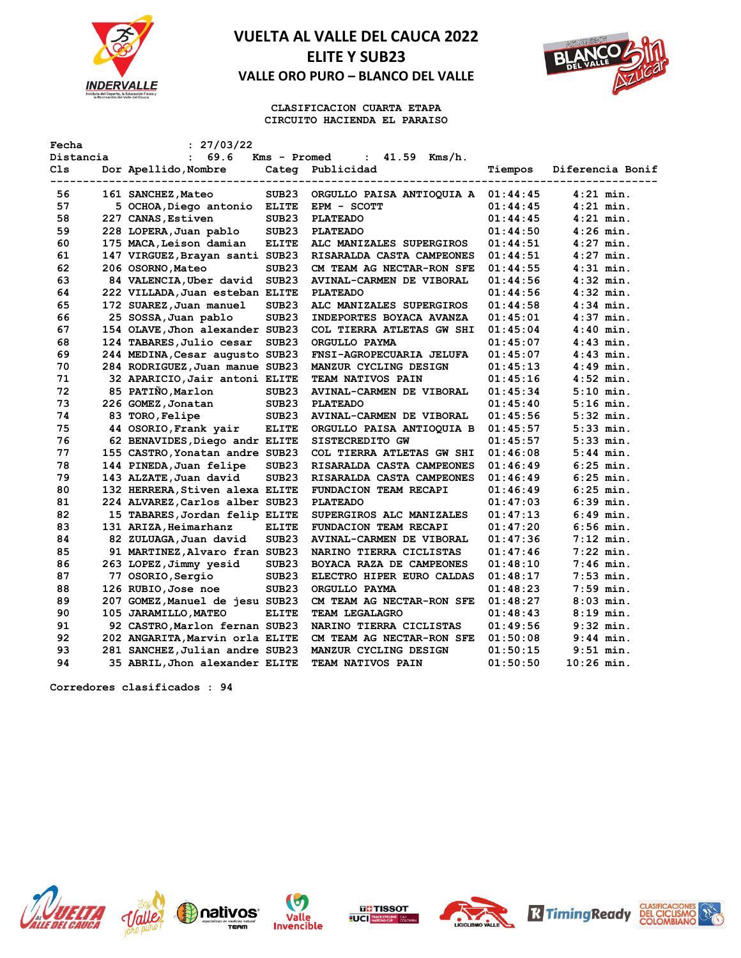



**CLASIFICACION CUARTA ETAPA CIRCUITO HACIENDA EL PARAISO**

| Fecha     | : 27/03/22                      |                   |                                    |          |                  |
|-----------|---------------------------------|-------------------|------------------------------------|----------|------------------|
| Distancia | 69.6<br>$\mathbf{r}$            | Kms - Promed      | $41.59$ Kms/h.<br>$\mathbf{L}$     |          |                  |
| Cls       | Dor Apellido, Nombre            |                   | Categ Publicidad                   | Tiempos  | Diferencia Bonif |
| 56        | 161 SANCHEZ, Mateo              | SUB23             | ORGULLO PAISA ANTIOQUIA A 01:44:45 |          | $4:21$ min.      |
| 57        | 5 OCHOA, Diego antonio ELITE    |                   | EPM - SCOTT                        | 01:44:45 | $4:21$ min.      |
| 58        | 227 CANAS, Estiven              | SUB23             | <b>PLATEADO</b>                    | 01:44:45 | $4:21$ min.      |
| 59        | 228 LOPERA, Juan pablo          | SUB <sub>23</sub> | <b>PLATEADO</b>                    | 01:44:50 | $4:26$ min.      |
| 60        | 175 MACA, Leison damian         | <b>ELITE</b>      | ALC MANIZALES SUPERGIROS           | 01:44:51 | $4:27$ min.      |
| 61        | 147 VIRGUEZ, Brayan santi SUB23 |                   | RISARALDA CASTA CAMPEONES          | 01:44:51 | $4:27$ min.      |
| 62        | 206 OSORNO, Mateo               | SUB <sub>23</sub> | CM TEAM AG NECTAR-RON SFE          | 01:44:55 | $4:31$ min.      |
| 63        | 84 VALENCIA, Uber david         | SUB <sub>23</sub> | AVINAL-CARMEN DE VIBORAL           | 01:44:56 | $4:32$ min.      |
| 64        | 222 VILLADA, Juan esteban ELITE |                   | <b>PLATEADO</b>                    | 01:44:56 | $4:32$ min.      |
| 65        | 172 SUAREZ, Juan manuel         | SUB <sub>23</sub> | ALC MANIZALES SUPERGIROS           | 01:44:58 | $4:34$ min.      |
| 66        | 25 SOSSA, Juan pablo            | SUB <sub>23</sub> | INDEPORTES BOYACA AVANZA           | 01:45:01 | $4:37$ min.      |
| 67        | 154 OLAVE, Jhon alexander SUB23 |                   | COL TIERRA ATLETAS GW SHI          | 01:45:04 | $4:40$ min.      |
| 68        | 124 TABARES, Julio cesar        | SUB <sub>23</sub> | ORGULLO PAYMA                      | 01:45:07 | $4:43$ min.      |
| 69        | 244 MEDINA, Cesar augusto SUB23 |                   | FNSI-AGROPECUARIA JELUFA           | 01:45:07 | $4:43$ min.      |
| 70        | 284 RODRIGUEZ, Juan manue SUB23 |                   | MANZUR CYCLING DESIGN              | 01:45:13 | $4:49$ min.      |
| 71        | 32 APARICIO, Jair antoni ELITE  |                   | TEAM NATIVOS PAIN                  | 01:45:16 | $4:52$ min.      |
| 72        | 85 PATIÑO, Marlon               | SUB23             | AVINAL-CARMEN DE VIBORAL           | 01:45:34 | $5:10$ min.      |
| 73        | 226 GOMEZ, Jonatan              | SUB <sub>23</sub> | <b>PLATEADO</b>                    | 01:45:40 | $5:16$ min.      |
| 74        | 83 TORO, Felipe                 | SUB23             | AVINAL-CARMEN DE VIBORAL           | 01:45:56 | $5:32$ min.      |
| 75        | 44 OSORIO, Frank yair           | <b>ELITE</b>      | ORGULLO PAISA ANTIOQUIA B          | 01:45:57 | $5:33$ min.      |
| 76        | 62 BENAVIDES, Diego andr ELITE  |                   | SISTECREDITO GW                    | 01:45:57 | $5:33$ min.      |
| 77        | 155 CASTRO, Yonatan andre SUB23 |                   | COL TIERRA ATLETAS GW SHI          | 01:46:08 | $5:44$ min.      |
| 78        | 144 PINEDA, Juan felipe         | SUB <sub>23</sub> | RISARALDA CASTA CAMPEONES          | 01:46:49 | $6:25$ min.      |
| 79        | 143 ALZATE, Juan david          | SUB <sub>23</sub> | RISARALDA CASTA CAMPEONES          | 01:46:49 | $6:25$ min.      |
| 80        | 132 HERRERA, Stiven alexa ELITE |                   | FUNDACION TEAM RECAPI              | 01:46:49 | $6:25$ min.      |
| 81        | 224 ALVAREZ, Carlos alber SUB23 |                   | <b>PLATEADO</b>                    | 01:47:03 | $6:39$ min.      |
| 82        | 15 TABARES, Jordan felip ELITE  |                   | SUPERGIROS ALC MANIZALES           | 01:47:13 | $6:49$ min.      |
| 83        | 131 ARIZA, Heimarhanz           | <b>ELITE</b>      | FUNDACION TEAM RECAPI              | 01:47:20 | $6:56$ min.      |
| 84        | 82 ZULUAGA, Juan david          | SUB <sub>23</sub> | AVINAL-CARMEN DE VIBORAL           | 01:47:36 | $7:12$ min.      |
| 85        | 91 MARTINEZ, Alvaro fran SUB23  |                   | NARINO TIERRA CICLISTAS            | 01:47:46 | $7:22$ min.      |
| 86        | 263 LOPEZ, Jimmy yesid          | SUB23             | BOYACA RAZA DE CAMPEONES           | 01:48:10 | $7:46$ min.      |
| 87        | 77 OSORIO, Sergio               | SUB <sub>23</sub> | ELECTRO HIPER EURO CALDAS          | 01:48:17 | $7:53$ min.      |
| 88        | 126 RUBIO,Jose noe              | SUB <sub>23</sub> | ORGULLO PAYMA                      | 01:48:23 | $7:59$ min.      |
| 89        | 207 GOMEZ, Manuel de jesu SUB23 |                   | CM TEAM AG NECTAR-RON SFE          | 01:48:27 | $8:03$ min.      |
| 90        | 105 JARAMILLO, MATEO            | <b>ELITE</b>      | <b>TEAM LEGALAGRO</b>              | 01:48:43 | $8:19$ min.      |
| 91        | 92 CASTRO, Marlon fernan SUB23  |                   | NARINO TIERRA CICLISTAS            | 01:49:56 | $9:32$ min.      |
| 92        | 202 ANGARITA, Marvin orla ELITE |                   | CM TEAM AG NECTAR-RON SFE          | 01:50:08 | $9:44$ min.      |
| 93        | 281 SANCHEZ, Julian andre SUB23 |                   | MANZUR CYCLING DESIGN              | 01:50:15 | $9:51$ min.      |
| 94        | 35 ABRIL, Jhon alexander ELITE  |                   | <b>TEAM NATIVOS PAIN</b>           | 01:50:50 | $10:26$ min.     |

**Corredores clasificados : 94**













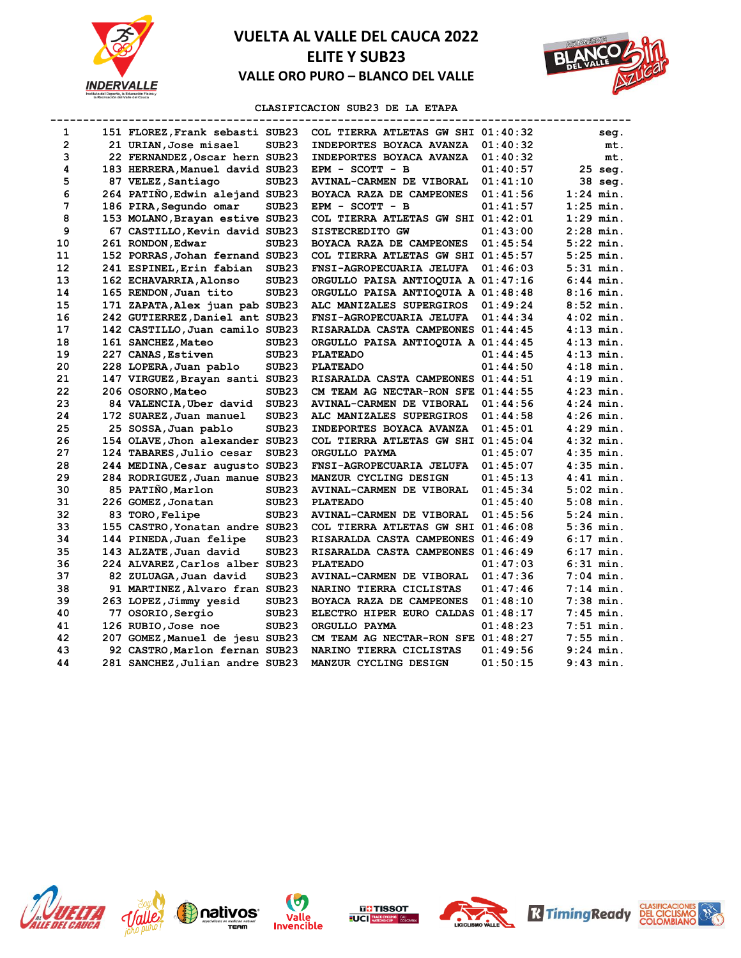



### **CLASIFICACION SUB23 DE LA ETAPA**

| 1            | 151 FLOREZ, Frank sebasti SUB23 |                   | COL TIERRA ATLETAS GW SHI 01:40:32 |          | seq.        |
|--------------|---------------------------------|-------------------|------------------------------------|----------|-------------|
| $\mathbf{2}$ | 21 URIAN, Jose misael           | SUB <sub>23</sub> | INDEPORTES BOYACA AVANZA           | 01:40:32 | mt.         |
| 3            | 22 FERNANDEZ, Oscar hern SUB23  |                   | <b>INDEPORTES BOYACA AVANZA</b>    | 01:40:32 | mt.         |
| 4            | 183 HERRERA, Manuel david SUB23 |                   | EPM - SCOTT - B                    | 01:40:57 | $25$ seq.   |
| 5            | 87 VELEZ, Santiago              | SUB <sub>23</sub> | AVINAL-CARMEN DE VIBORAL           | 01:41:10 | 38 seg.     |
| 6            | 264 PATIÑO, Edwin alejand SUB23 |                   | BOYACA RAZA DE CAMPEONES           | 01:41:56 | $1:24$ min. |
| 7            | 186 PIRA, Segundo omar          | SUB <sub>23</sub> | EPM - SCOTT - B                    | 01:41:57 | $1:25$ min. |
| 8            | 153 MOLANO, Brayan estive SUB23 |                   | COL TIERRA ATLETAS GW SHI 01:42:01 |          | $1:29$ min. |
| 9            | 67 CASTILLO, Kevin david SUB23  |                   | SISTECREDITO GW                    | 01:43:00 | $2:28$ min. |
| 10           | 261 RONDON, Edwar               | SUB <sub>23</sub> | BOYACA RAZA DE CAMPEONES           | 01:45:54 | $5:22$ min. |
| 11           | 152 PORRAS, Johan fernand SUB23 |                   | COL TIERRA ATLETAS GW SHI 01:45:57 |          | $5:25$ min. |
| 12           | 241 ESPINEL, Erin fabian        | SUB <sub>23</sub> | FNSI-AGROPECUARIA JELUFA           | 01:46:03 | 5:31 min.   |
| 13           | 162 ECHAVARRIA, Alonso          | SUB <sub>23</sub> | ORGULLO PAISA ANTIOQUIA A 01:47:16 |          | $6:44$ min. |
| 14           | 165 RENDON, Juan tito           | SUB <sub>23</sub> | ORGULLO PAISA ANTIOQUIA A 01:48:48 |          | $8:16$ min. |
| 15           | 171 ZAPATA, Alex juan pab SUB23 |                   | ALC MANIZALES SUPERGIROS           | 01:49:24 | $8:52$ min. |
| 16           | 242 GUTIERREZ, Daniel ant SUB23 |                   | FNSI-AGROPECUARIA JELUFA           | 01:44:34 | $4:02$ min. |
| 17           | 142 CASTILLO, Juan camilo SUB23 |                   | RISARALDA CASTA CAMPEONES 01:44:45 |          | $4:13$ min. |
| 18           | 161 SANCHEZ, Mateo              | SUB <sub>23</sub> | ORGULLO PAISA ANTIOQUIA A 01:44:45 |          | $4:13$ min. |
| 19           | 227 CANAS, Estiven              | SUB <sub>23</sub> | <b>PLATEADO</b>                    | 01:44:45 | $4:13$ min. |
| 20           | 228 LOPERA, Juan pablo          | SUB <sub>23</sub> | <b>PLATEADO</b>                    | 01:44:50 | $4:18$ min. |
| 21           | 147 VIRGUEZ, Brayan santi SUB23 |                   | RISARALDA CASTA CAMPEONES 01:44:51 |          | $4:19$ min. |
| 22           | 206 OSORNO, Mateo               | SUB <sub>23</sub> | CM TEAM AG NECTAR-RON SFE 01:44:55 |          | $4:23$ min. |
| 23           | 84 VALENCIA, Uber david         | SUB <sub>23</sub> | AVINAL-CARMEN DE VIBORAL           | 01:44:56 | $4:24$ min. |
| 24           | 172 SUAREZ, Juan manuel         | SUB <sub>23</sub> | ALC MANIZALES SUPERGIROS           | 01:44:58 | $4:26$ min. |
| 25           | 25 SOSSA, Juan pablo            | SUB <sub>23</sub> | INDEPORTES BOYACA AVANZA           | 01:45:01 | $4:29$ min. |
| 26           | 154 OLAVE, Jhon alexander SUB23 |                   | COL TIERRA ATLETAS GW SHI 01:45:04 |          | $4:32$ min. |
| 27           | 124 TABARES, Julio cesar        | SUB <sub>23</sub> | ORGULLO PAYMA                      | 01:45:07 | $4:35$ min. |
| 28           | 244 MEDINA, Cesar augusto SUB23 |                   | FNSI-AGROPECUARIA JELUFA           | 01:45:07 | $4:35$ min. |
| 29           | 284 RODRIGUEZ, Juan manue SUB23 |                   | MANZUR CYCLING DESIGN              | 01:45:13 | $4:41$ min. |
| 30           | 85 PATINO, Marlon               | SUB <sub>23</sub> | AVINAL-CARMEN DE VIBORAL           | 01:45:34 | $5:02$ min. |
| 31           | 226 GOMEZ, Jonatan              | SUB <sub>23</sub> | <b>PLATEADO</b>                    | 01:45:40 | $5:08$ min. |
| 32           | 83 TORO, Felipe                 | SUB <sub>23</sub> | AVINAL-CARMEN DE VIBORAL           | 01:45:56 | $5:24$ min. |
| 33           | 155 CASTRO, Yonatan andre SUB23 |                   | COL TIERRA ATLETAS GW SHI 01:46:08 |          | 5:36 min.   |
| 34           | 144 PINEDA, Juan felipe         | SUB <sub>23</sub> | RISARALDA CASTA CAMPEONES 01:46:49 |          | $6:17$ min. |
| 35           | 143 ALZATE, Juan david          | SUB <sub>23</sub> | RISARALDA CASTA CAMPEONES 01:46:49 |          | $6:17$ min. |
| 36           | 224 ALVAREZ, Carlos alber SUB23 |                   | <b>PLATEADO</b>                    | 01:47:03 | $6:31$ min. |
| 37           | 82 ZULUAGA, Juan david          | SUB <sub>23</sub> | AVINAL-CARMEN DE VIBORAL           | 01:47:36 | $7:04$ min. |
| 38           | 91 MARTINEZ, Alvaro fran SUB23  |                   | NARINO TIERRA CICLISTAS            | 01:47:46 | $7:14$ min. |
| 39           | 263 LOPEZ, Jimmy yesid          | SUB <sub>23</sub> | BOYACA RAZA DE CAMPEONES           | 01:48:10 | $7:38$ min. |
| 40           | 77 OSORIO, Sergio               | SUB <sub>23</sub> | ELECTRO HIPER EURO CALDAS          | 01:48:17 | $7:45$ min. |
| 41           | 126 RUBIO, Jose noe             | SUB <sub>23</sub> | ORGULLO PAYMA                      | 01:48:23 | $7:51$ min. |
| 42           | 207 GOMEZ, Manuel de jesu SUB23 |                   | CM TEAM AG NECTAR-RON SFE 01:48:27 |          | $7:55$ min. |
| 43           | 92 CASTRO, Marlon fernan SUB23  |                   | NARINO TIERRA CICLISTAS            | 01:49:56 | $9:24$ min. |
| 44           | 281 SANCHEZ, Julian andre SUB23 |                   | MANZUR CYCLING DESIGN              | 01:50:15 | $9:43$ min. |













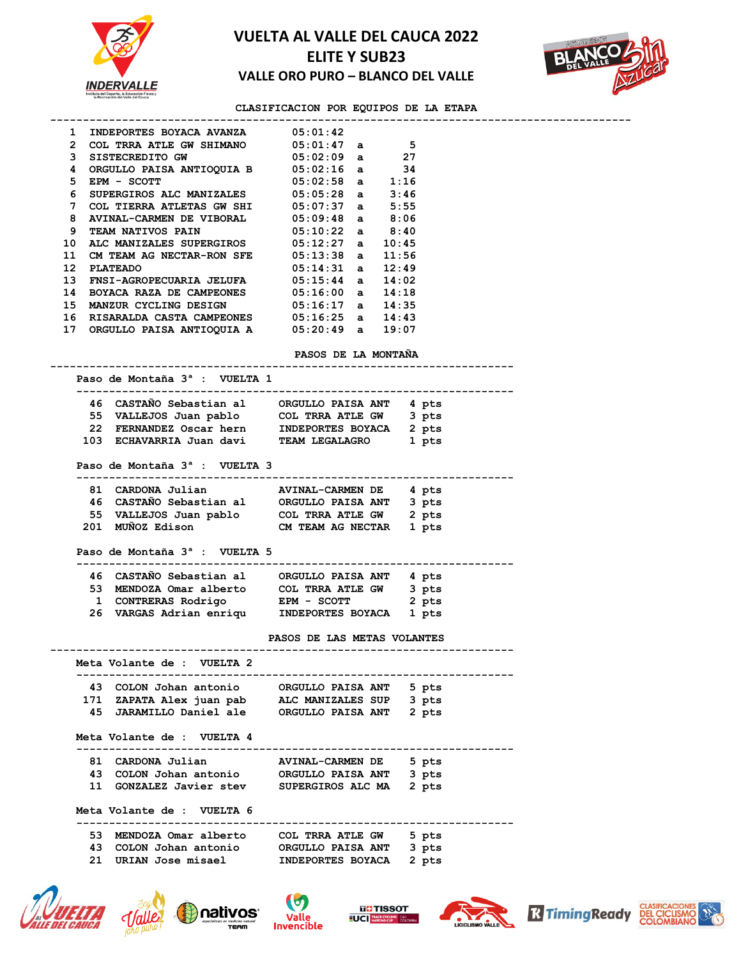



**CLASIFICACION POR EQUIPOS DE LA ETAPA**

|                   |                                                                                                                                                                          | CLASIFICACION POR EQUIPOS DE LA ETAPA                                                               |  |
|-------------------|--------------------------------------------------------------------------------------------------------------------------------------------------------------------------|-----------------------------------------------------------------------------------------------------|--|
|                   | 1 INDEPORTES BOYACA AVANZA                                                                                                                                               | 05:01:42                                                                                            |  |
|                   | 2 COL TRRA ATLE GW SHIMANO 05:01:47 a 5                                                                                                                                  |                                                                                                     |  |
|                   | 3 SISTECREDITO GW                                                                                                                                                        | 27                                                                                                  |  |
|                   | 4 ORGULLO PAISA ANTIOQUIA B                                                                                                                                              | 05:02:09  a<br>05:02:16  a<br>- 34                                                                  |  |
| 5.                | EPM - SCOTT                                                                                                                                                              | $05:02:58$ a 1:16                                                                                   |  |
| 6                 | SUPERGIROS ALC MANIZALES $05:05:28$ a $3:46$<br>COL TIERRA ATLETAS GW SHI $05:07:37$ a $5:55$                                                                            |                                                                                                     |  |
| 7                 |                                                                                                                                                                          |                                                                                                     |  |
| 8                 |                                                                                                                                                                          |                                                                                                     |  |
| 9                 | NUINAL-CARMEN DE VIBORAL 05:09:48 a 8:06<br>TEAM NATIVOS PAIN 05:09:48 a 8:06<br>ALC MANIZALES SUPERGIROS 05:12:27 a 10:45<br>CM TEAM AG NECTAR-RON SFE 05:13:38 a 11:56 |                                                                                                     |  |
|                   | <b>10 ALC MANIZALES SUPERGIROS</b>                                                                                                                                       |                                                                                                     |  |
| 11<br>12 PLATEADO |                                                                                                                                                                          | $05:14:31$ a $12:49$                                                                                |  |
|                   |                                                                                                                                                                          |                                                                                                     |  |
|                   | 13 FNSI-AGROPECUARIA JELUFA $05:15:44$ a $14:02$<br>14 BOYACA RAZA DE CAMPEONES $05:16:00$ a $14:18$                                                                     |                                                                                                     |  |
|                   | 15 MANZUR CYCLING DESIGN                                                                                                                                                 | $05:16:17$ a $14:35$                                                                                |  |
|                   | 16 RISARALDA CASTA CAMPEONES 05:16:25 a 14:43                                                                                                                            |                                                                                                     |  |
|                   | 17 ORGULLO PAISA ANTIOQUIA A                                                                                                                                             | 05:20:49 a 19:07                                                                                    |  |
|                   |                                                                                                                                                                          |                                                                                                     |  |
|                   |                                                                                                                                                                          | <b>PASOS DE LA MONTAÑA</b>                                                                          |  |
|                   | Paso de Montaña 3 <sup>ª</sup> : VUELTA 1                                                                                                                                |                                                                                                     |  |
|                   | -----------                                                                                                                                                              |                                                                                                     |  |
|                   |                                                                                                                                                                          | 46 CASTAÑO Sebastian al ORGULLO PAISA ANT 4 pts<br>55 VALLEJOS Juan pablo COL TRRA ATLE GW 3 pts    |  |
|                   |                                                                                                                                                                          |                                                                                                     |  |
|                   |                                                                                                                                                                          | 22 FERNANDEZ Oscar hern INDEPORTES BOYACA 2 pts                                                     |  |
|                   |                                                                                                                                                                          | 103 ECHAVARRIA Juan davi TEAM LEGALAGRO 1 pts                                                       |  |
|                   | Paso de Montaña 3 <sup>ª</sup> : VUELTA 3                                                                                                                                |                                                                                                     |  |
|                   |                                                                                                                                                                          |                                                                                                     |  |
|                   |                                                                                                                                                                          | 81 CARDONA Julian MVINAL-CARMEN DE 4 pts<br>46 CASTAÑO Sebastian al 0RGULLO PAISA ANT 3 pts         |  |
|                   |                                                                                                                                                                          |                                                                                                     |  |
|                   |                                                                                                                                                                          | 55 VALLEJOS Juan pablo COL TRRA ATLE GW 2 pts<br>201 MUÑOZ Edison CM TEAM AG NECTAR 1 pts           |  |
|                   |                                                                                                                                                                          |                                                                                                     |  |
|                   | Paso de Montaña 3 <sup>ª</sup> : VUELTA 5                                                                                                                                |                                                                                                     |  |
|                   |                                                                                                                                                                          | 46 CASTAÑO Sebastian al ORGULLO PAISA ANT 4 pts                                                     |  |
|                   |                                                                                                                                                                          | 53 MENDOZA Omar alberto COL TRRA ATLE GW 3 pts                                                      |  |
|                   |                                                                                                                                                                          |                                                                                                     |  |
|                   |                                                                                                                                                                          | 1 CONTRERAS Rodrigo EPM - SCOTT 2 pts<br>26 VARGAS Adrian enriqu INDEPORTES BOYACA 1 pts            |  |
|                   |                                                                                                                                                                          |                                                                                                     |  |
|                   |                                                                                                                                                                          | PASOS DE LAS METAS VOLANTES                                                                         |  |
|                   | Meta Volante de : VUELTA 2                                                                                                                                               |                                                                                                     |  |
|                   |                                                                                                                                                                          |                                                                                                     |  |
|                   |                                                                                                                                                                          | 43 COLON Johan antonio CONGULLO PAISA ANT 5 pts<br>171 ZAPATA Alex juan pab ALC MANIZALES SUP 3 pts |  |
|                   |                                                                                                                                                                          |                                                                                                     |  |
|                   |                                                                                                                                                                          | 45 JARAMILLO Daniel ale ORGULLO PAISA ANT 2 pts                                                     |  |
|                   | Meta Volante de : VUELTA 4                                                                                                                                               |                                                                                                     |  |
|                   |                                                                                                                                                                          |                                                                                                     |  |
|                   | 81 CARDONA Julian                                                                                                                                                        | AVINAL-CARMEN DE 5 pts                                                                              |  |
|                   | 43 COLON Johan antonio<br>11 GONZALEZ Javier stev                                                                                                                        | ORGULLO PAISA ANT 3 pts<br>SUPERGIROS ALC MA 2 pts                                                  |  |
|                   |                                                                                                                                                                          |                                                                                                     |  |
|                   | Meta Volante de : VUELTA 6<br>------------------------                                                                                                                   |                                                                                                     |  |
|                   |                                                                                                                                                                          | 53 MENDOZA Omar alberto COL TRRA ATLE GW 5 pts                                                      |  |
|                   |                                                                                                                                                                          | 43 COLON Johan antonio ORGULLO PAISA ANT 3 pts                                                      |  |
|                   | 21 URIAN Jose misael                                                                                                                                                     | <b>INDEPORTES BOYACA</b><br>2 pts                                                                   |  |
|                   |                                                                                                                                                                          |                                                                                                     |  |











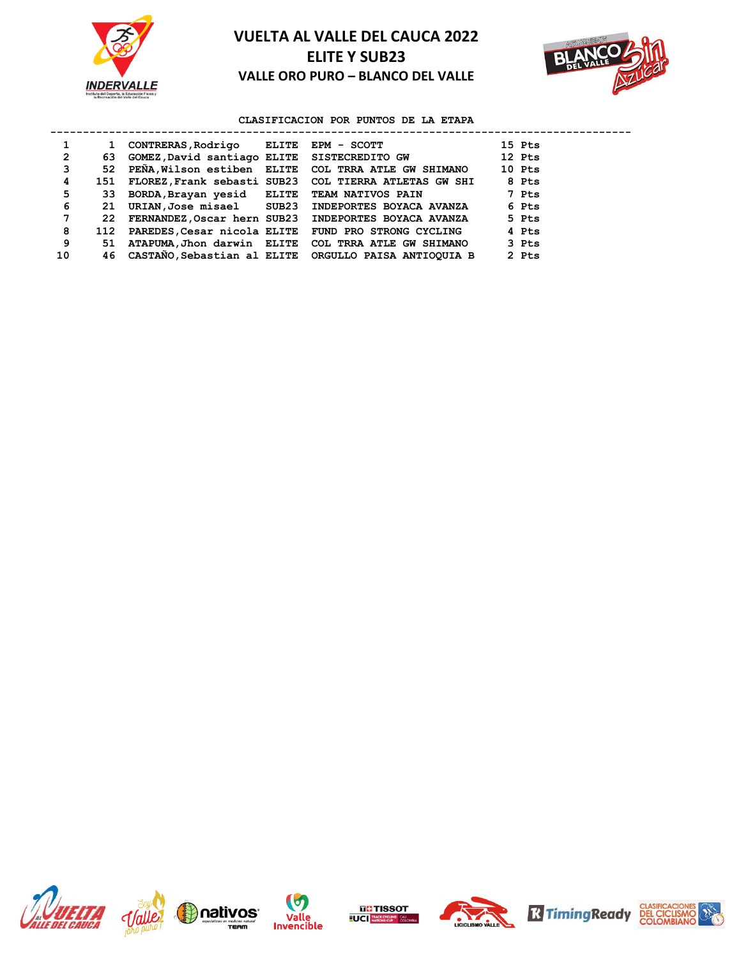



### **CLASIFICACION POR PUNTOS DE LA ETAPA**

|              | 1   | CONTRERAS, Rodrigo ELITE EPM - SCOTT           |                                                          | 15 Pts |
|--------------|-----|------------------------------------------------|----------------------------------------------------------|--------|
| $\mathbf{2}$ | 63  | GOMEZ, David santiago ELITE SISTECREDITO GW    |                                                          | 12 Pts |
| 3            | 52. |                                                | PEÑA, Wilson estiben ELITE COL TRRA ATLE GW SHIMANO      | 10 Pts |
| 4            | 151 |                                                | FLOREZ, Frank sebasti SUB23 COL TIERRA ATLETAS GW SHI    | 8 Pts  |
| 5            |     | 33 BORDA, Brayan yesid ELITE TEAM NATIVOS PAIN |                                                          | 7 Pts  |
| 6            | 21  | URIAN, Jose misael SUB23                       | INDEPORTES BOYACA AVANZA                                 | 6 Pts  |
| 7            | 22  |                                                | FERNANDEZ, Oscar hern SUB23 INDEPORTES BOYACA AVANZA     | 5 Pts  |
| 8            | 112 |                                                | PAREDES, Cesar nicola ELITE FUND PRO STRONG CYCLING      | 4 Pts  |
| 9            | 51  |                                                | ATAPUMA, Jhon darwin ELITE COL TRRA ATLE GW SHIMANO      | 3 Pts  |
| 10           |     |                                                | 46 CASTANO, Sebastian al ELITE ORGULLO PAISA ANTIOQUIA B | 2 Pts  |











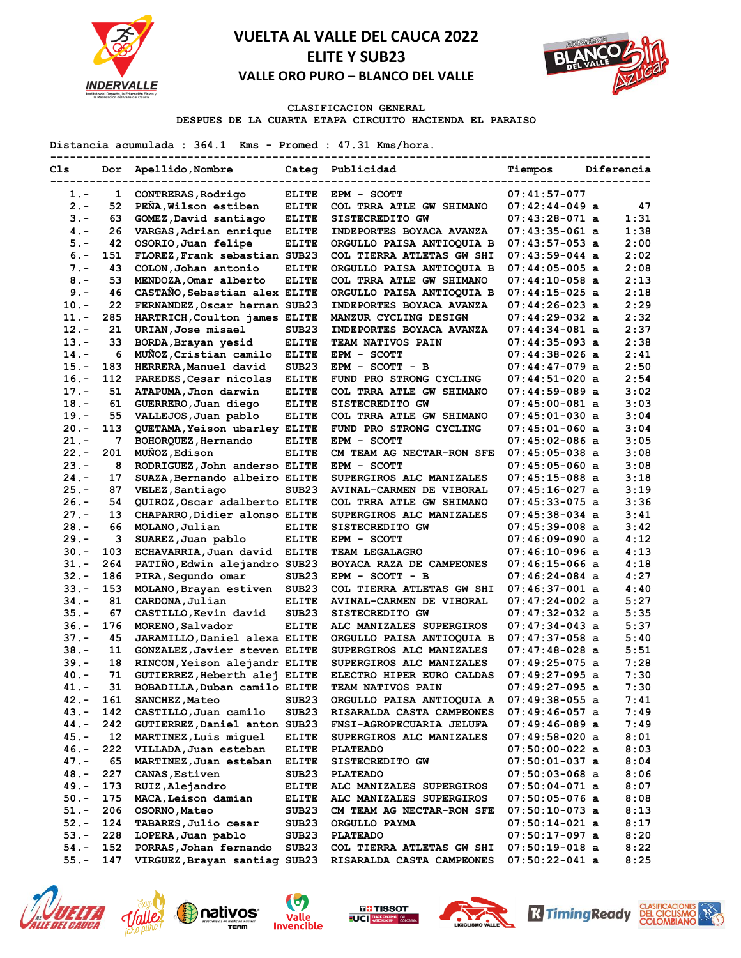



### **CLASIFICACION GENERAL**

**DESPUES DE LA CUARTA ETAPA CIRCUITO HACIENDA EL PARAISO**

**Distancia acumulada : 364.1 Kms - Promed : 47.31 Kms/hora.**

| Cls     | Dor | Apellido, Nombre              |                   | Categ Publicidad                | Tiempos          | Diferencia |
|---------|-----|-------------------------------|-------------------|---------------------------------|------------------|------------|
| 1.-     | 1   | CONTRERAS, Rodrigo            | <b>ELITE</b>      | EPM - SCOTT                     | $07:41:57-077$   |            |
| $2 -$   | 52  | PEÑA, Wilson estiben          | <b>ELITE</b>      | COL TRRA ATLE GW SHIMANO        | $07:42:44-049$ a | 47         |
| $3 -$   | 63  | GOMEZ, David santiago         | <b>ELITE</b>      | SISTECREDITO GW                 | $07:43:28-071$ a | 1:31       |
| $4 -$   | 26  | VARGAS, Adrian enrique        | <b>ELITE</b>      | INDEPORTES BOYACA AVANZA        | $07:43:35-061$ a | 1:38       |
| $5. -$  | 42  | OSORIO, Juan felipe           | <b>ELITE</b>      | ORGULLO PAISA ANTIOQUIA B       | $07:43:57-053$ a | 2:00       |
| $6. -$  | 151 | FLOREZ, Frank sebastian SUB23 |                   | COL TIERRA ATLETAS GW SHI       | $07:43:59-044$ a | 2:02       |
| $7 -$   | 43  | COLON, Johan antonio          | <b>ELITE</b>      |                                 |                  | 2:08       |
|         |     |                               |                   | ORGULLO PAISA ANTIOQUIA B       | $07:44:05-005$ a |            |
| $8 -$   | 53  | MENDOZA, Omar alberto         | <b>ELITE</b>      | COL TRRA ATLE GW SHIMANO        | $07:44:10-058$ a | 2:13       |
| $9 -$   | 46  | CASTAÑO, Sebastian alex ELITE |                   | ORGULLO PAISA ANTIOQUIA B       | $07:44:15-025$ a | 2:18       |
| $10.-$  | 22  | FERNANDEZ, Oscar hernan SUB23 |                   | INDEPORTES BOYACA AVANZA        | $07:44:26-023$ a | 2:29       |
| 11.-    | 285 | HARTRICH, Coulton james ELITE |                   | MANZUR CYCLING DESIGN           | $07:44:29-032$ a | 2:32       |
| $12 -$  | 21  | URIAN, Jose misael            | SUB <sub>23</sub> | INDEPORTES BOYACA AVANZA        | $07:44:34-081$ a | 2:37       |
| $13 -$  | 33  | BORDA, Brayan yesid           | <b>ELITE</b>      | <b>TEAM NATIVOS PAIN</b>        | $07:44:35-093$ a | 2:38       |
| $14. -$ | 6   | MUÑOZ, Cristian camilo        | <b>ELITE</b>      | EPM - SCOTT                     | $07:44:38-026$ a | 2:41       |
| $15. -$ | 183 | HERRERA, Manuel david         | SUB <sub>23</sub> | EPM - SCOTT - B                 | $07:44:47-079$ a | 2:50       |
| $16. -$ | 112 | PAREDES, Cesar nicolas        | <b>ELITE</b>      | FUND PRO STRONG CYCLING         | $07:44:51-020$ a | 2:54       |
| $17. -$ | 51  | ATAPUMA, Jhon darwin          | <b>ELITE</b>      | COL TRRA ATLE GW SHIMANO        | $07:44:59-089$ a | 3:02       |
| $18. -$ | 61  | GUERRERO, Juan diego          | <b>ELITE</b>      | <b>SISTECREDITO GW</b>          | $07:45:00-081$ a | 3:03       |
| $19. -$ | 55  | VALLEJOS, Juan pablo          | <b>ELITE</b>      | COL TRRA ATLE GW SHIMANO        | $07:45:01-030$ a | 3:04       |
| $20 -$  | 113 | QUETAMA, Yeison ubarley ELITE |                   | FUND PRO STRONG CYCLING         | $07:45:01-060$ a | 3:04       |
| $21. -$ | 7   | BOHORQUEZ, Hernando           | <b>ELITE</b>      | EPM - SCOTT                     | $07:45:02-086$ a | 3:05       |
| $22 -$  | 201 | MUÑOZ, Edison                 | <b>ELITE</b>      | CM TEAM AG NECTAR-RON SFE       | $07:45:05-038$ a | 3:08       |
| $23 -$  | 8   | RODRIGUEZ, John anderso ELITE |                   | EPM - SCOTT                     | $07:45:05-060$ a | 3:08       |
|         |     |                               |                   |                                 |                  |            |
| $24. -$ | 17  | SUAZA, Bernando albeiro ELITE |                   | SUPERGIROS ALC MANIZALES        | $07:45:15-088$ a | 3:18       |
| $25. -$ | 87  | VELEZ, Santiago               | SUB <sub>23</sub> | AVINAL-CARMEN DE VIBORAL        | $07:45:16-027$ a | 3:19       |
| $26. -$ | 54  | QUIROZ, Oscar adalberto ELITE |                   | COL TRRA ATLE GW SHIMANO        | $07:45:33-075$ a | 3:36       |
| $27. -$ | 13  | CHAPARRO, Didier alonso ELITE |                   | SUPERGIROS ALC MANIZALES        | $07:45:38-034$ a | 3:41       |
| $28. -$ | 66  | MOLANO, Julian                | <b>ELITE</b>      | <b>SISTECREDITO GW</b>          | $07:45:39-008$ a | 3:42       |
| $29. -$ | 3   | SUAREZ, Juan pablo            | <b>ELITE</b>      | EPM - SCOTT                     | $07:46:09-090$ a | 4:12       |
| $30 -$  | 103 | ECHAVARRIA, Juan david ELITE  |                   | TEAM LEGALAGRO                  | $07:46:10-096$ a | 4:13       |
| $31 -$  | 264 | PATIÑO, Edwin alejandro SUB23 |                   | BOYACA RAZA DE CAMPEONES        | $07:46:15-066$ a | 4:18       |
| $32 -$  | 186 | PIRA, Segundo omar            | SUB <sub>23</sub> | EPM - SCOTT - B                 | $07:46:24-084$ a | 4:27       |
| $33 -$  | 153 | MOLANO, Brayan estiven        | SUB23             | COL TIERRA ATLETAS GW SHI       | $07:46:37-001$ a | 4:40       |
| $34. -$ | 81  | CARDONA, Julian               | <b>ELITE</b>      | AVINAL-CARMEN DE VIBORAL        | $07:47:24-002$ a | 5:27       |
| $35. -$ | 67  | CASTILLO, Kevin david         | SUB <sub>23</sub> | <b>SISTECREDITO GW</b>          | $07:47:32-032$ a | 5:35       |
| $36. -$ | 176 | MORENO, Salvador              | <b>ELITE</b>      | ALC MANIZALES SUPERGIROS        | $07:47:34-043$ a | 5:37       |
| $37 -$  | 45  | JARAMILLO, Daniel alexa ELITE |                   | ORGULLO PAISA ANTIOQUIA B       | $07:47:37-058$ a | 5:40       |
| $38 -$  | 11  | GONZALEZ, Javier steven ELITE |                   | SUPERGIROS ALC MANIZALES        | $07:47:48-028$ a | 5:51       |
| $39. -$ | 18  | RINCON, Yeison alejandr ELITE |                   | SUPERGIROS ALC MANIZALES        | $07:49:25-075$ a | 7:28       |
| $40 -$  | 71  | GUTIERREZ, Heberth alej ELITE |                   | ELECTRO HIPER EURO CALDAS       | $07:49:27-095$ a | 7:30       |
| 41.-    | 31  | BOBADILLA, Duban camilo ELITE |                   | <b>TEAM NATIVOS PAIN</b>        | $07:49:27-095$ a | 7:30       |
| $42 -$  | 161 | SANCHEZ, Mateo                | SUB <sub>23</sub> |                                 | $07:49:38-055$ a | 7:41       |
|         |     |                               |                   | ORGULLO PAISA ANTIOQUIA A       |                  |            |
| $43. -$ | 142 | CASTILLO, Juan camilo         | SUB <sub>23</sub> | RISARALDA CASTA CAMPEONES       | $07:49:46-057$ a | 7:49       |
| $44. -$ | 242 | GUTIERREZ, Daniel anton SUB23 |                   | FNSI-AGROPECUARIA JELUFA        | $07:49:46-089$ a | 7:49       |
| 45.-    | 12  | MARTINEZ, Luis miquel         | <b>ELITE</b>      | <b>SUPERGIROS ALC MANIZALES</b> | $07:49:58-020$ a | 8:01       |
| 46.-    | 222 | VILLADA, Juan esteban         | <b>ELITE</b>      | <b>PLATEADO</b>                 | $07:50:00-022$ a | 8:03       |
| $47. -$ | 65  | MARTINEZ, Juan esteban        | <b>ELITE</b>      | SISTECREDITO GW                 | $07:50:01-037$ a | 8:04       |
| $48. -$ | 227 | CANAS, Estiven                | SUB23             | <b>PLATEADO</b>                 | $07:50:03-068$ a | 8:06       |
| $49. -$ | 173 | RUIZ, Alejandro               | <b>ELITE</b>      | ALC MANIZALES SUPERGIROS        | $07:50:04-071$ a | 8:07       |
| $50. -$ | 175 | MACA, Leison damian           | <b>ELITE</b>      | ALC MANIZALES SUPERGIROS        | $07:50:05-076$ a | 8:08       |
| $51. -$ | 206 | OSORNO, Mateo                 | SUB23             | CM TEAM AG NECTAR-RON SFE       | $07:50:10-073$ a | 8:13       |
| $52 -$  | 124 | TABARES, Julio cesar          | SUB <sub>23</sub> | ORGULLO PAYMA                   | $07:50:14-021$ a | 8:17       |
| $53. -$ | 228 | LOPERA, Juan pablo            | SUB23             | <b>PLATEADO</b>                 | $07:50:17-097$ a | 8:20       |
| $54. -$ | 152 | PORRAS, Johan fernando        | SUB23             | COL TIERRA ATLETAS GW SHI       | $07:50:19-018$ a | 8:22       |
| $55. -$ | 147 | VIRGUEZ, Brayan santiag SUB23 |                   | RISARALDA CASTA CAMPEONES       | $07:50:22-041$ a | 8:25       |













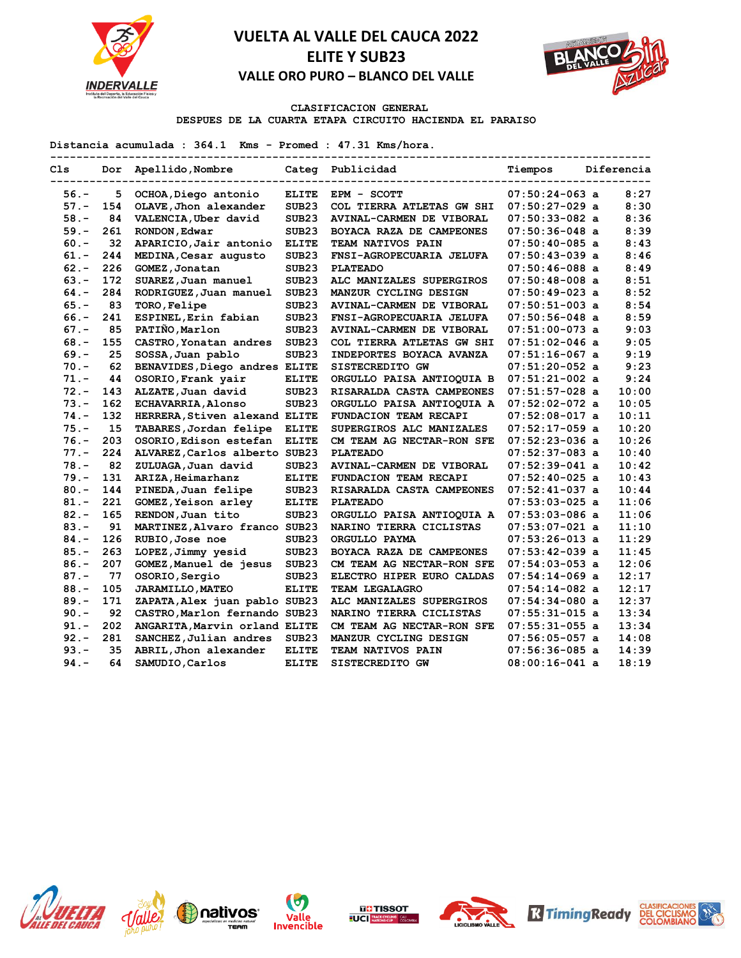



### **CLASIFICACION GENERAL**

**DESPUES DE LA CUARTA ETAPA CIRCUITO HACIENDA EL PARAISO**

**Distancia acumulada : 364.1 Kms - Promed : 47.31 Kms/hora.**

| C1s     | Dor | Apellido, Nombre              |                   | Categ Publicidad                | Tiempos          | Diferencia |
|---------|-----|-------------------------------|-------------------|---------------------------------|------------------|------------|
| $56. -$ | 5   | OCHOA, Diego antonio          | <b>ELITE</b>      | EPM - SCOTT                     | $07:50:24-063$ a | 8:27       |
| $57. -$ | 154 | OLAVE, Jhon alexander         | SUB <sub>23</sub> | COL TIERRA ATLETAS GW SHI       | $07:50:27-029$ a | 8:30       |
| $58. -$ | 84  | VALENCIA, Uber david          | SUB <sub>23</sub> | <b>AVINAL-CARMEN DE VIBORAL</b> | $07:50:33-082$ a | 8:36       |
| $59. -$ | 261 | RONDON, Edwar                 | SUB <sub>23</sub> | BOYACA RAZA DE CAMPEONES        | $07:50:36-048$ a | 8:39       |
| $60 -$  | 32  | APARICIO, Jair antonio        | <b>ELITE</b>      | <b>TEAM NATIVOS PAIN</b>        | $07:50:40-085$ a | 8:43       |
| $61 -$  | 244 | MEDINA, Cesar augusto         | SUB23             | FNSI-AGROPECUARIA JELUFA        | $07:50:43-039$ a | 8:46       |
| $62 -$  | 226 | GOMEZ, Jonatan                | SUB <sub>23</sub> | <b>PLATEADO</b>                 | $07:50:46-088$ a | 8:49       |
| $63 -$  | 172 | SUAREZ, Juan manuel           | SUB <sub>23</sub> | ALC MANIZALES SUPERGIROS        | $07:50:48-008$ a | 8:51       |
| $64. -$ | 284 | RODRIGUEZ, Juan manuel        | SUB <sub>23</sub> | MANZUR CYCLING DESIGN           | $07:50:49-023$ a | 8:52       |
| $65. -$ | 83  | TORO, Felipe                  | SUB <sub>23</sub> | AVINAL-CARMEN DE VIBORAL        | $07:50:51-003$ a | 8:54       |
| $66. -$ | 241 | ESPINEL, Erin fabian          | SUB <sub>23</sub> | FNSI-AGROPECUARIA JELUFA        | $07:50:56-048$ a | 8:59       |
| $67. -$ | 85  | PATIÑO, Marlon                | SUB <sub>23</sub> | <b>AVINAL-CARMEN DE VIBORAL</b> | $07:51:00-073$ a | 9:03       |
| $68. -$ | 155 | CASTRO, Yonatan andres        | SUB <sub>23</sub> | COL TIERRA ATLETAS GW SHI       | $07:51:02-046$ a | 9:05       |
| $69. -$ | 25  | SOSSA, Juan pablo             | SUB <sub>23</sub> | INDEPORTES BOYACA AVANZA        | $07:51:16-067$ a | 9:19       |
| $70. -$ | 62  | BENAVIDES, Diego andres ELITE |                   | SISTECREDITO GW                 | $07:51:20-052$ a | 9:23       |
| $71. -$ | 44  | OSORIO, Frank yair            | <b>ELITE</b>      | ORGULLO PAISA ANTIOQUIA B       | $07:51:21-002$ a | 9:24       |
| $72 -$  | 143 | ALZATE, Juan david            | SUB <sub>23</sub> | RISARALDA CASTA CAMPEONES       | $07:51:57-028$ a | 10:00      |
| $73. -$ | 162 | <b>ECHAVARRIA, Alonso</b>     | SUB <sub>23</sub> | ORGULLO PAISA ANTIOQUIA A       | $07:52:02-072$ a | 10:05      |
| $74. -$ | 132 | HERRERA, Stiven alexand ELITE |                   | FUNDACION TEAM RECAPI           | $07:52:08-017$ a | 10:11      |
| $75. -$ | 15  | TABARES, Jordan felipe        | <b>ELITE</b>      | SUPERGIROS ALC MANIZALES        | $07:52:17-059$ a | 10:20      |
| $76. -$ | 203 | OSORIO, Edison estefan        | <b>ELITE</b>      | CM TEAM AG NECTAR-RON SFE       | $07:52:23-036$ a | 10:26      |
| $77. -$ | 224 | ALVAREZ, Carlos alberto SUB23 |                   | <b>PLATEADO</b>                 | $07:52:37-083$ a | 10:40      |
| $78. -$ | 82  | ZULUAGA, Juan david           | SUB <sub>23</sub> | <b>AVINAL-CARMEN DE VIBORAL</b> | $07:52:39-041$ a | 10:42      |
| $79. -$ | 131 | ARIZA, Heimarhanz             | <b>ELITE</b>      | <b>FUNDACION TEAM RECAPI</b>    | $07:52:40-025$ a | 10:43      |
| $80 -$  | 144 | PINEDA, Juan felipe           | SUB <sub>23</sub> | RISARALDA CASTA CAMPEONES       | $07:52:41-037$ a | 10:44      |
| $81. -$ | 221 | GOMEZ, Yeison arley           | <b>ELITE</b>      | <b>PLATEADO</b>                 | $07:53:03-025$ a | 11:06      |
| $82 -$  | 165 | RENDON, Juan tito             | SUB <sub>23</sub> | ORGULLO PAISA ANTIOQUIA A       | $07:53:03-086$ a | 11:06      |
| $83 -$  | 91  | MARTINEZ, Alvaro franco SUB23 |                   | NARINO TIERRA CICLISTAS         | $07:53:07-021$ a | 11:10      |
| $84. -$ | 126 | RUBIO, Jose noe               | SUB <sub>23</sub> | ORGULLO PAYMA                   | $07:53:26-013$ a | 11:29      |
| $85. -$ | 263 | LOPEZ, Jimmy yesid            | SUB <sub>23</sub> | BOYACA RAZA DE CAMPEONES        | $07:53:42-039$ a | 11:45      |
| $86. -$ | 207 | GOMEZ, Manuel de jesus        | SUB <sub>23</sub> | CM TEAM AG NECTAR-RON SFE       | $07:54:03-053$ a | 12:06      |
| $87. -$ | 77  | OSORIO, Sergio                | SUB <sub>23</sub> | ELECTRO HIPER EURO CALDAS       | $07:54:14-069$ a | 12:17      |
| $88. -$ | 105 | <b>JARAMILLO, MATEO</b>       | <b>ELITE</b>      | <b>TEAM LEGALAGRO</b>           | $07:54:14-082$ a | 12:17      |
| $89. -$ | 171 | ZAPATA, Alex juan pablo SUB23 |                   | ALC MANIZALES SUPERGIROS        | $07:54:34-080$ a | 12:37      |
| $90 -$  | 92  | CASTRO, Marlon fernando SUB23 |                   | NARINO TIERRA CICLISTAS         | $07:55:31-015$ a | 13:34      |
| $91 -$  | 202 | ANGARITA, Marvin orland ELITE |                   | CM TEAM AG NECTAR-RON SFE       | $07:55:31-055$ a | 13:34      |
| $92 -$  | 281 | SANCHEZ, Julian andres        | SUB <sub>23</sub> | MANZUR CYCLING DESIGN           | $07:56:05-057$ a | 14:08      |
| $93 -$  | 35  | ABRIL, Jhon alexander         | <b>ELITE</b>      | <b>TEAM NATIVOS PAIN</b>        | $07:56:36-085$ a | 14:39      |
| $94. -$ | 64  | SAMUDIO, Carlos               | <b>ELITE</b>      | <b>SISTECREDITO GW</b>          | $08:00:16-041$ a | 18:19      |













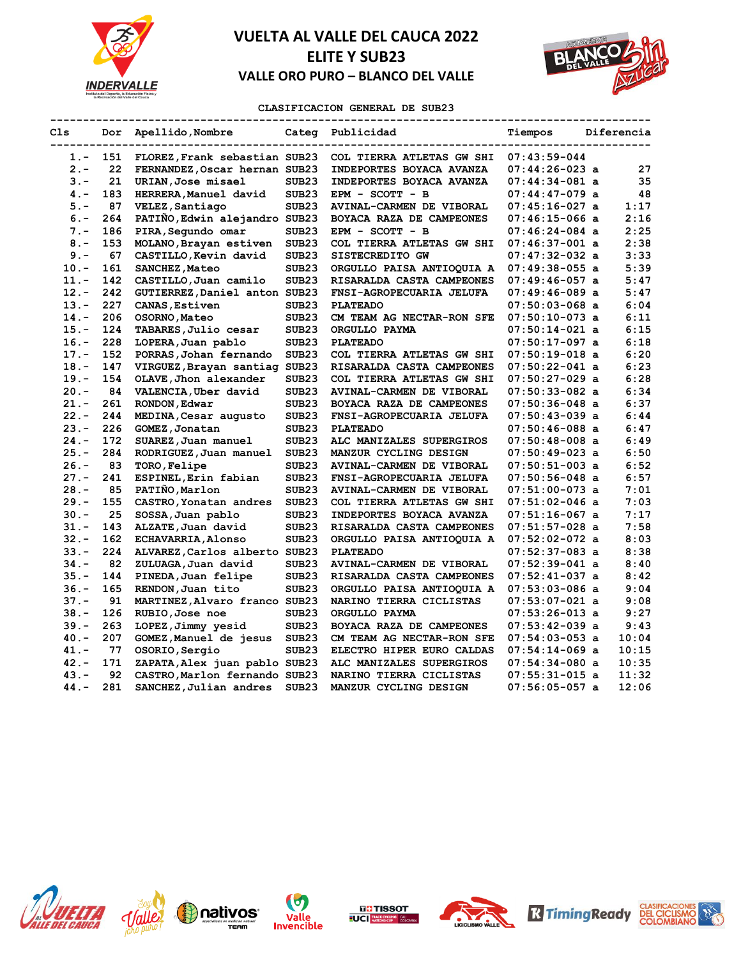



### **CLASIFICACION GENERAL DE SUB23**

| Cls     |     | ----------------<br>Dor Apellido, Nombre |                   | Categ Publicidad          | Tiempos          | Diferencia |
|---------|-----|------------------------------------------|-------------------|---------------------------|------------------|------------|
| 1.-     | 151 | FLOREZ, Frank sebastian SUB23            |                   | COL TIERRA ATLETAS GW SHI | $07:43:59-044$   |            |
| $2 -$   | 22  | FERNANDEZ, Oscar hernan SUB23            |                   | INDEPORTES BOYACA AVANZA  | $07:44:26-023$ a | 27         |
| $3 -$   | 21  | URIAN, Jose misael                       | SUB <sub>23</sub> | INDEPORTES BOYACA AVANZA  | $07:44:34-081$ a | 35         |
| $4 -$   | 183 | HERRERA, Manuel david                    | SUB <sub>23</sub> | EPM - SCOTT - B           | $07:44:47-079$ a | 48         |
| $5. -$  | 87  | VELEZ, Santiago                          | SUB <sub>23</sub> | AVINAL-CARMEN DE VIBORAL  | $07:45:16-027$ a | 1:17       |
| $6. -$  | 264 | PATIÑO, Edwin alejandro SUB23            |                   | BOYACA RAZA DE CAMPEONES  | $07:46:15-066$ a | 2:16       |
| $7 -$   | 186 | PIRA, Segundo omar                       | SUB <sub>23</sub> | EPM - SCOTT - B           | $07:46:24-084$ a | 2:25       |
| $8 -$   | 153 | MOLANO, Brayan estiven                   | SUB <sub>23</sub> | COL TIERRA ATLETAS GW SHI | $07:46:37-001$ a | 2:38       |
| $9 -$   | 67  | CASTILLO, Kevin david                    | SUB <sub>23</sub> | SISTECREDITO GW           | $07:47:32-032$ a | 3:33       |
| $10. -$ | 161 | SANCHEZ, Mateo                           | SUB <sub>23</sub> | ORGULLO PAISA ANTIOQUIA A | $07:49:38-055$ a | 5:39       |
| $11. -$ | 142 | CASTILLO, Juan camilo                    | SUB <sub>23</sub> | RISARALDA CASTA CAMPEONES | $07:49:46-057$ a | 5:47       |
| $12 -$  | 242 | GUTIERREZ, Daniel anton SUB23            |                   | FNSI-AGROPECUARIA JELUFA  | $07:49:46-089$ a | 5:47       |
| $13 -$  | 227 | <b>CANAS, Estiven</b>                    | SUB <sub>23</sub> | <b>PLATEADO</b>           | $07:50:03-068$ a | 6:04       |
| $14. -$ | 206 | OSORNO, Mateo                            | SUB <sub>23</sub> | CM TEAM AG NECTAR-RON SFE | $07:50:10-073$ a | 6:11       |
| $15. -$ | 124 | TABARES, Julio cesar                     | SUB <sub>23</sub> | ORGULLO PAYMA             | $07:50:14-021$ a | 6:15       |
| $16. -$ | 228 | LOPERA, Juan pablo                       | SUB <sub>23</sub> | <b>PLATEADO</b>           | $07:50:17-097$ a | 6:18       |
| $17. -$ | 152 | PORRAS, Johan fernando                   | SUB <sub>23</sub> | COL TIERRA ATLETAS GW SHI | $07:50:19-018$ a | 6:20       |
| $18. -$ | 147 | VIRGUEZ, Brayan santiag                  | SUB <sub>23</sub> | RISARALDA CASTA CAMPEONES | $07:50:22-041$ a | 6:23       |
| $19. -$ | 154 | OLAVE, Jhon alexander                    | SUB <sub>23</sub> | COL TIERRA ATLETAS GW SHI | $07:50:27-029$ a | 6:28       |
| $20 -$  | 84  | VALENCIA, Uber david                     | SUB <sub>23</sub> | AVINAL-CARMEN DE VIBORAL  | $07:50:33-082$ a | 6:34       |
| $21 -$  | 261 | RONDON, Edwar                            | SUB <sub>23</sub> | BOYACA RAZA DE CAMPEONES  | $07:50:36-048$ a | 6:37       |
| $22 -$  | 244 | MEDINA, Cesar augusto                    | SUB <sub>23</sub> | FNSI-AGROPECUARIA JELUFA  | $07:50:43-039$ a | 6:44       |
| $23 -$  | 226 | GOMEZ, Jonatan                           | SUB23             | <b>PLATEADO</b>           | $07:50:46-088$ a | 6:47       |
| $24. -$ | 172 | SUAREZ, Juan manuel                      | SUB <sub>23</sub> | ALC MANIZALES SUPERGIROS  | $07:50:48-008$ a | 6:49       |
| $25. -$ | 284 | RODRIGUEZ, Juan manuel                   | SUB <sub>23</sub> | MANZUR CYCLING DESIGN     | $07:50:49-023$ a | 6:50       |
| $26. -$ | 83  | TORO, Felipe                             | SUB <sub>23</sub> | AVINAL-CARMEN DE VIBORAL  | $07:50:51-003$ a | 6:52       |
| $27. -$ | 241 | ESPINEL, Erin fabian                     | SUB <sub>23</sub> | FNSI-AGROPECUARIA JELUFA  | $07:50:56-048$ a | 6:57       |
| $28 -$  | 85  | PATINO, Marlon                           | SUB <sub>23</sub> | AVINAL-CARMEN DE VIBORAL  | $07:51:00-073$ a | 7:01       |
| $29. -$ | 155 | CASTRO, Yonatan andres                   | SUB <sub>23</sub> | COL TIERRA ATLETAS GW SHI | $07:51:02-046$ a | 7:03       |
| $30 -$  | 25  | SOSSA, Juan pablo                        | SUB <sub>23</sub> | INDEPORTES BOYACA AVANZA  | $07:51:16-067$ a | 7:17       |
| $31 -$  | 143 | ALZATE, Juan david                       | SUB <sub>23</sub> | RISARALDA CASTA CAMPEONES | $07:51:57-028$ a | 7:58       |
| $32 -$  | 162 | <b>ECHAVARRIA, Alonso</b>                | SUB <sub>23</sub> | ORGULLO PAISA ANTIOQUIA A | $07:52:02-072$ a | 8:03       |
| $33 -$  | 224 | ALVAREZ, Carlos alberto SUB23            |                   | <b>PLATEADO</b>           | $07:52:37-083$ a | 8:38       |
| $34. -$ | 82  | ZULUAGA, Juan david                      | SUB <sub>23</sub> | AVINAL-CARMEN DE VIBORAL  | $07:52:39-041$ a | 8:40       |
| $35. -$ | 144 | PINEDA, Juan felipe                      | SUB <sub>23</sub> | RISARALDA CASTA CAMPEONES | $07:52:41-037$ a | 8:42       |
| $36. -$ | 165 | RENDON, Juan tito                        | SUB <sub>23</sub> | ORGULLO PAISA ANTIOQUIA A | $07:53:03-086$ a | 9:04       |
| $37 -$  | 91  | MARTINEZ, Alvaro franco SUB23            |                   | NARINO TIERRA CICLISTAS   | $07:53:07-021$ a | 9:08       |
| $38 -$  | 126 | RUBIO, Jose noe                          | SUB <sub>23</sub> | ORGULLO PAYMA             | $07:53:26-013$ a | 9:27       |
| 39.-    | 263 | LOPEZ, Jimmy yesid                       | SUB <sub>23</sub> | BOYACA RAZA DE CAMPEONES  | $07:53:42-039$ a | 9:43       |
| $40. -$ | 207 | GOMEZ, Manuel de jesus                   | SUB <sub>23</sub> | CM TEAM AG NECTAR-RON SFE | $07:54:03-053$ a | 10:04      |
| $41. -$ | 77  | OSORIO, Sergio                           | SUB <sub>23</sub> | ELECTRO HIPER EURO CALDAS | $07:54:14-069$ a | 10:15      |
| $42 -$  | 171 | ZAPATA, Alex juan pablo SUB23            |                   | ALC MANIZALES SUPERGIROS  | $07:54:34-080$ a | 10:35      |
| $43 -$  | 92  | CASTRO, Marlon fernando SUB23            |                   | NARINO TIERRA CICLISTAS   | $07:55:31-015$ a | 11:32      |
| $44. -$ | 281 | SANCHEZ, Julian andres                   | SUB <sub>23</sub> | MANZUR CYCLING DESIGN     | $07:56:05-057$ a | 12:06      |













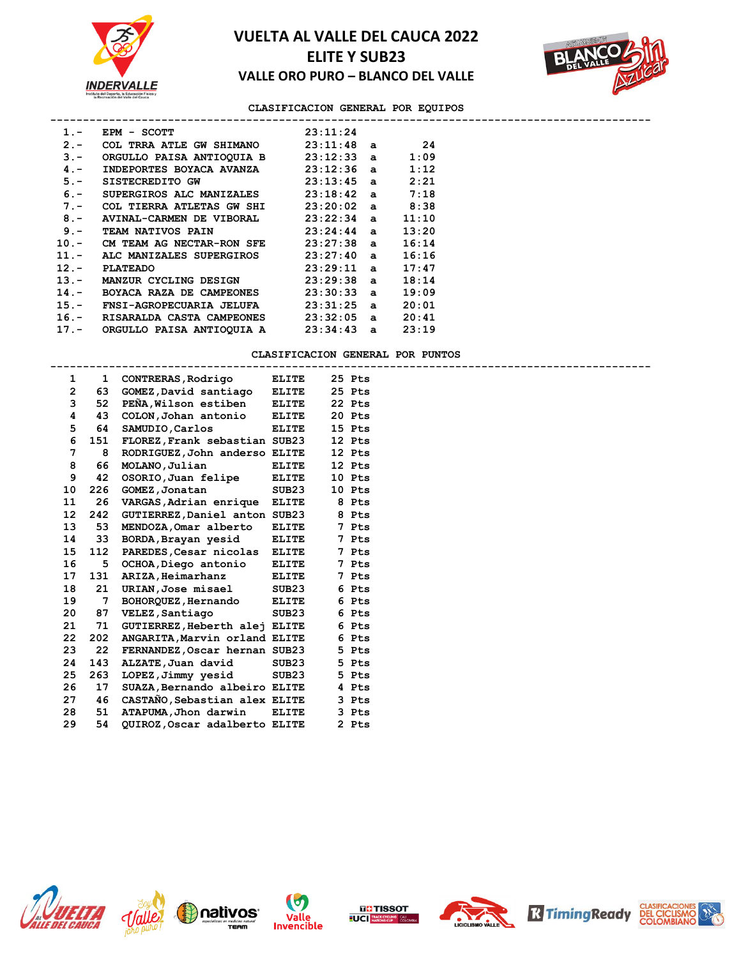



**CLASIFICACION GENERAL POR EQUIPOS** 

| $1 -$   | EPM - SCOTT                                          | 23:11:24        |       |  |  |
|---------|------------------------------------------------------|-----------------|-------|--|--|
| $2 -$   | COL TRRA ATLE GW SHIMANO                             | $23:11:48$ a 24 |       |  |  |
| $3 -$   | ORGULLO PAISA ANTIOQUIA B 23:12:33 a                 |                 | 1:09  |  |  |
| $4 -$   | INDEPORTES BOYACA AVANZA                             | 23:12:36 a      | 1:12  |  |  |
| $5 -$   | SISTECREDITO GW 23:13:45 a                           |                 | 2:21  |  |  |
| $6. -$  | SUPERGIROS ALC MANIZALES 23:18:42 a                  |                 | 7:18  |  |  |
|         | $7.$ - COL TIERRA ATLETAS GW SHI $23:20:02$ a $8:38$ |                 |       |  |  |
| $8 -$   | AVINAL-CARMEN DE VIBORAL 23:22:34 a                  |                 | 11:10 |  |  |
| $9 -$   |                                                      |                 | 13:20 |  |  |
|         | $10.-$ CM TEAM AG NECTAR-RON SFE $23:27:38$ a        |                 | 16:14 |  |  |
|         | 11.- ALC MANIZALES SUPERGIROS                        | 23:27:40 a      | 16:16 |  |  |
| $12. -$ | <b>PLATEADO</b>                                      | 23:29:11 a      | 17:47 |  |  |
| $13. -$ | MANZUR CYCLING DESIGN                                | 23:29:38 a      | 18:14 |  |  |
| $14. -$ | BOYACA RAZA DE CAMPEONES                             | 23:30:33 a      | 19:09 |  |  |
| $15. -$ | FNSI-AGROPECUARIA JELUFA                             | 23:31:25 a      | 20:01 |  |  |
|         | 16.- RISARALDA CASTA CAMPEONES                       | 23:32:05 a      | 20:41 |  |  |
|         | 17.- ORGULLO PAISA ANTIOQUIA A 23:34:43 a            |                 | 23:19 |  |  |

#### **CLASIFICACION GENERAL POR PUNTOS**

| 1               | $\mathbf{1}$ | CONTRERAS, Rodrigo            | <b>ELITE</b> | 25 Pts |  |  |  |  |  |  |
|-----------------|--------------|-------------------------------|--------------|--------|--|--|--|--|--|--|
| $\mathbf{2}$    | 63           | GOMEZ, David santiago         | ELITE        | 25 Pts |  |  |  |  |  |  |
| 3               | 52           | PEÑA, Wilson estiben          | <b>ELITE</b> | 22 Pts |  |  |  |  |  |  |
| 4               | 43           | COLON, Johan antonio          | ELITE        | 20 Pts |  |  |  |  |  |  |
| 5               | 64           | SAMUDIO, Carlos               | <b>ELITE</b> | 15 Pts |  |  |  |  |  |  |
| 6               | 151          | FLOREZ, Frank sebastian SUB23 |              | 12 Pts |  |  |  |  |  |  |
| 7               | 8            | RODRIGUEZ, John anderso ELITE |              | 12 Pts |  |  |  |  |  |  |
| 8               | 66           | MOLANO, Julian                | ELITE        | 12 Pts |  |  |  |  |  |  |
| 9               | 42           | OSORIO, Juan felipe           | ELITE        | 10 Pts |  |  |  |  |  |  |
| 10              | 226          | GOMEZ, Jonatan                | SUB23        | 10 Pts |  |  |  |  |  |  |
| 11              | 26           | VARGAS, Adrian enrique ELITE  |              | 8 Pts  |  |  |  |  |  |  |
| 12 <sup>°</sup> | 242          | GUTIERREZ, Daniel anton SUB23 |              | 8 Pts  |  |  |  |  |  |  |
| 13              | 53           | MENDOZA, Omar alberto         | <b>ELITE</b> | 7 Pts  |  |  |  |  |  |  |
| 14              | 33           | BORDA, Brayan yesid           | <b>ELITE</b> | 7 Pts  |  |  |  |  |  |  |
| 15              | 112          | PAREDES, Cesar nicolas        | <b>ELITE</b> | 7 Pts  |  |  |  |  |  |  |
| 16              | 5            | OCHOA, Diego antonio          | <b>ELITE</b> | 7 Pts  |  |  |  |  |  |  |
| 17              | 131          | ARIZA, Heimarhanz             | <b>ELITE</b> | 7 Pts  |  |  |  |  |  |  |
| 18              | 21           | URIAN, Jose misael            | SUB23        | 6 Pts  |  |  |  |  |  |  |
| 19              | 7            | BOHORQUEZ, Hernando           | <b>ELITE</b> | 6 Pts  |  |  |  |  |  |  |
| 20              | 87           | VELEZ, Santiago               | SUB23        | 6 Pts  |  |  |  |  |  |  |
| 21              | 71           | GUTIERREZ, Heberth alej ELITE |              | 6 Pts  |  |  |  |  |  |  |
| 22              | 202          | ANGARITA, Marvin orland ELITE |              | 6 Pts  |  |  |  |  |  |  |
| 23              | 22           | FERNANDEZ, Oscar hernan SUB23 |              | 5 Pts  |  |  |  |  |  |  |
| 24              | 143          | ALZATE, Juan david            | SUB23        | 5 Pts  |  |  |  |  |  |  |
| 25              | 263          | LOPEZ, Jimmy yesid            | SUB23        | 5 Pts  |  |  |  |  |  |  |
| 26              | 17           | SUAZA, Bernando albeiro ELITE |              | 4 Pts  |  |  |  |  |  |  |
| 27              | 46           | CASTANO, Sebastian alex ELITE |              | 3 Pts  |  |  |  |  |  |  |
| 28              | 51           | ATAPUMA, Jhon darwin          | ELITE        | 3 Pts  |  |  |  |  |  |  |
| 29              | 54           | QUIROZ, Oscar adalberto ELITE |              | 2 Pts  |  |  |  |  |  |  |
|                 |              |                               |              |        |  |  |  |  |  |  |













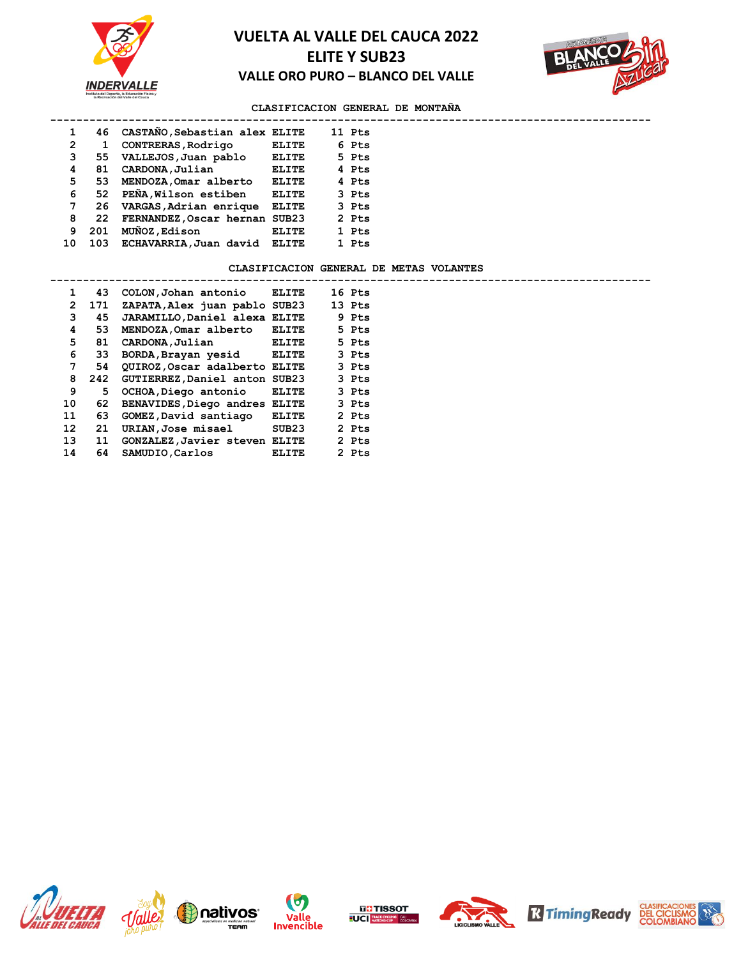



### **CLASIFICACION GENERAL DE MONTAÑA**

|    |     | 46 CASTANO, Sebastian alex ELITE |              | 11 Pts |  |
|----|-----|----------------------------------|--------------|--------|--|
| 2  |     | CONTRERAS, Rodrigo               | <b>ELITE</b> | 6 Pts  |  |
| 3  |     | 55 VALLEJOS, Juan pablo          | <b>ELITE</b> | 5 Pts  |  |
| 4  | 81  | CARDONA, Julian                  | <b>ELITE</b> | 4 Pts  |  |
| 5  | 53. | MENDOZA, Omar alberto            | <b>ELITE</b> | 4 Pts  |  |
| 6  | 52  | PENA, Wilson estiben             | <b>ELITE</b> | 3 Pts  |  |
| 7  | 26  | VARGAS, Adrian enrique           | <b>ELITE</b> | 3 Pts  |  |
| 8  | 22  | FERNANDEZ, Oscar hernan SUB23    |              | 2 Pts  |  |
| 9  | 201 | MUÑOZ, Edison                    | <b>ELITE</b> | 1 Pts  |  |
| 10 | 103 | ECHAVARRIA, Juan david ELITE     |              | 1 Pts  |  |
|    |     |                                  |              |        |  |

#### **CLASIFICACION GENERAL DE METAS VOLANTES**

| $\mathbf{1}$         |     | 43 COLON, Johan antonio           | <b>ELITE</b> |        | 16 Pts |
|----------------------|-----|-----------------------------------|--------------|--------|--------|
| $\mathbf{2}^{\circ}$ | 171 | ZAPATA, Alex juan pablo SUB23     |              | 13 Pts |        |
| 3                    | 45  | JARAMILLO, Daniel alexa ELITE     |              |        | 9 Pts  |
| 4                    | 53  | MENDOZA, Omar alberto ELITE       |              |        | 5 Pts  |
| 5                    | 81  | CARDONA, Julian                   | ELITE        |        | 5 Pts  |
| 6                    | 33  | BORDA, Brayan yesid ELITE         |              |        | 3 Pts  |
| 7                    | 54  | QUIROZ, Oscar adalberto ELITE     |              |        | 3 Pts  |
| 8                    |     | 242 GUTIERREZ, Daniel anton SUB23 |              |        | 3 Pts  |
| 9                    | 5.  | OCHOA, Diego antonio ELITE        |              |        | 3 Pts  |
| 10                   | 62  | BENAVIDES, Diego andres ELITE     |              |        | 3 Pts  |
| 11                   | 63  | GOMEZ, David santiago ELITE       |              |        | 2 Pts  |
| 12 <sup>12</sup>     | 21  | URIAN,Jose misael                 | SUB23        |        | 2 Pts  |
| 13                   | 11  | GONZALEZ, Javier steven ELITE     |              |        | 2 Pts  |
| 14                   | 64  | SAMUDIO, Carlos                   | ELITE        |        | 2 Pts  |
|                      |     |                                   |              |        |        |













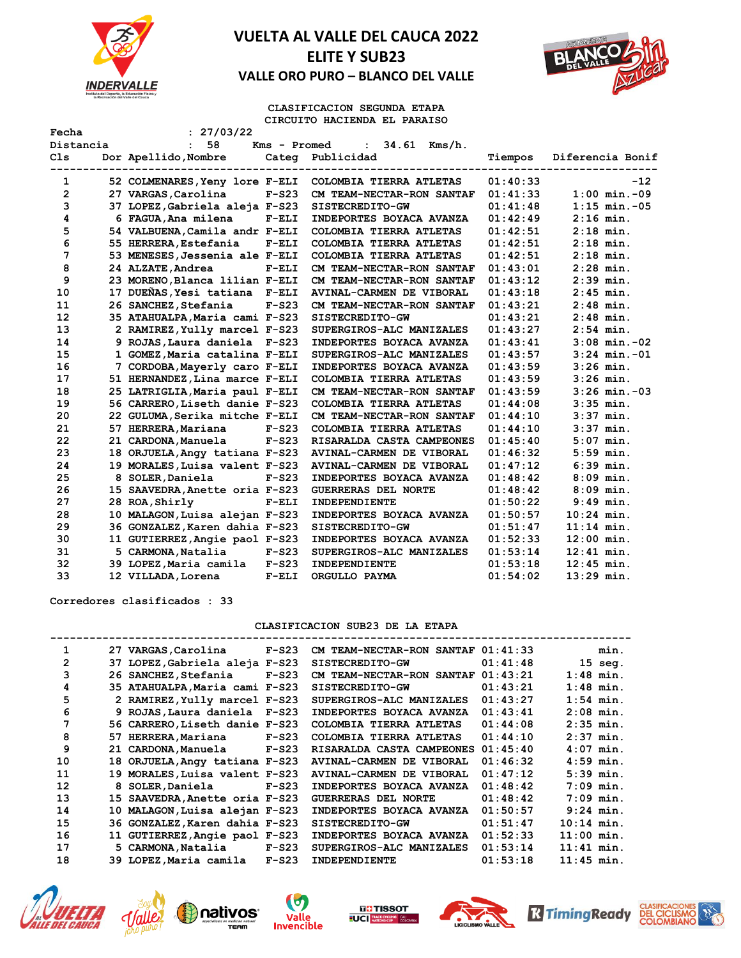



#### **CLASIFICACION SEGUNDA ETAPA CIRCUITO HACIENDA EL PARAISO**

| Fecha           | : 27/03/22                                      |              |                                                        |          |                   |
|-----------------|-------------------------------------------------|--------------|--------------------------------------------------------|----------|-------------------|
| Distancia       | 58<br>$\mathbf{r}$                              | Kms - Promed | : $34.61$ Kms/h.                                       |          |                   |
| C1s             | Dor Apellido, Nombre<br>----------------------- |              | Categ Publicidad                                       | Tiempos  | Diferencia Bonif  |
| 1               |                                                 |              | 52 COLMENARES, Yeny lore F-ELI COLOMBIA TIERRA ATLETAS | 01:40:33 | $-12$             |
| 2               | 27 VARGAS, Carolina                             | $F-S23$      | CM TEAM-NECTAR-RON SANTAF                              | 01:41:33 | $1:00$ min. $-09$ |
| 3               | 37 LOPEZ, Gabriela aleja F-S23                  |              | SISTECREDITO-GW                                        | 01:41:48 | $1:15$ min. $-05$ |
| 4               | 6 FAGUA, Ana milena                             | $F-ELI$      | INDEPORTES BOYACA AVANZA                               | 01:42:49 | $2:16$ min.       |
| 5               | 54 VALBUENA, Camila andr F-ELI                  |              | COLOMBIA TIERRA ATLETAS                                | 01:42:51 | $2:18$ min.       |
| 6               | 55 HERRERA, Estefania                           | $F-ELI$      | COLOMBIA TIERRA ATLETAS                                | 01:42:51 | $2:18$ min.       |
| $7\phantom{.0}$ | 53 MENESES, Jessenia ale F-ELI                  |              | COLOMBIA TIERRA ATLETAS                                | 01:42:51 | $2:18$ min.       |
| 8               | 24 ALZATE, Andrea                               | $F-ELI$      | CM TEAM-NECTAR-RON SANTAF                              | 01:43:01 | $2:28$ min.       |
| 9               | 23 MORENO, Blanca lilian F-ELI                  |              | CM TEAM-NECTAR-RON SANTAF                              | 01:43:12 | $2:39$ min.       |
| 10              | 17 DUEÑAS, Yesi tatiana F-ELI                   |              | AVINAL-CARMEN DE VIBORAL                               | 01:43:18 | $2:45$ min.       |
| 11              | 26 SANCHEZ, Stefania                            | $F-S23$      | CM TEAM-NECTAR-RON SANTAF                              | 01:43:21 | $2:48$ min.       |
| 12              | 35 ATAHUALPA, Maria cami F-S23                  |              | SISTECREDITO-GW                                        | 01:43:21 | $2:48$ min.       |
| 13              | 2 RAMIREZ, Yully marcel F-S23                   |              | SUPERGIROS-ALC MANIZALES                               | 01:43:27 | $2:54$ min.       |
| 14              | 9 ROJAS, Laura daniela F-S23                    |              | INDEPORTES BOYACA AVANZA                               | 01:43:41 | $3:08$ min. $-02$ |
| 15              | 1 GOMEZ, Maria catalina F-ELI                   |              | SUPERGIROS-ALC MANIZALES                               | 01:43:57 | $3:24$ min. $-01$ |
| 16              | 7 CORDOBA, Mayerly caro F-ELI                   |              | INDEPORTES BOYACA AVANZA                               | 01:43:59 | $3:26$ min.       |
| 17              | 51 HERNANDEZ, Lina marce F-ELI                  |              | COLOMBIA TIERRA ATLETAS                                | 01:43:59 | $3:26$ min.       |
| 18              | 25 LATRIGLIA, Maria paul F-ELI                  |              | CM TEAM-NECTAR-RON SANTAF                              | 01:43:59 | $3:26$ min. $-03$ |
| 19              | 56 CARRERO, Liseth danie F-S23                  |              | COLOMBIA TIERRA ATLETAS                                | 01:44:08 | $3:35$ min.       |
| 20              | 22 GULUMA, Serika mitche F-ELI                  |              | CM TEAM-NECTAR-RON SANTAF                              | 01:44:10 | $3:37$ min.       |
| 21              | 57 HERRERA, Mariana                             | $F-S23$      | COLOMBIA TIERRA ATLETAS                                | 01:44:10 | $3:37$ min.       |
| 22              | 21 CARDONA, Manuela                             | $F-S23$      | RISARALDA CASTA CAMPEONES                              | 01:45:40 | $5:07$ min.       |
| 23              | 18 ORJUELA, Angy tatiana F-S23                  |              | AVINAL-CARMEN DE VIBORAL                               | 01:46:32 | $5:59$ min.       |
| 24              | 19 MORALES, Luisa valent F-S23                  |              | AVINAL-CARMEN DE VIBORAL                               | 01:47:12 | $6:39$ min.       |
| 25              | 8 SOLER, Daniela                                | $F-S23$      | INDEPORTES BOYACA AVANZA                               | 01:48:42 | $8:09$ min.       |
| 26              | 15 SAAVEDRA, Anette oria F-S23                  |              | GUERRERAS DEL NORTE                                    | 01:48:42 | $8:09$ min.       |
| 27              | 28 ROA, Shirly                                  | $F-ELI$      | INDEPENDIENTE                                          | 01:50:22 | $9:49$ min.       |
| 28              | 10 MALAGON, Luisa alejan F-S23                  |              | INDEPORTES BOYACA AVANZA                               | 01:50:57 | $10:24$ min.      |
| 29              | 36 GONZALEZ, Karen dahia F-S23                  |              | SISTECREDITO-GW                                        | 01:51:47 | $11:14$ min.      |
| 30              | 11 GUTIERREZ, Angie paol F-S23                  |              | INDEPORTES BOYACA AVANZA                               | 01:52:33 | $12:00$ min.      |
| 31              | 5 CARMONA, Natalia                              | $F-S23$      | SUPERGIROS-ALC MANIZALES                               | 01:53:14 | $12:41$ min.      |
| 32              | 39 LOPEZ, Maria camila F-S23                    |              | INDEPENDIENTE                                          | 01:53:18 | $12:45$ min.      |
| 33              | 12 VILLADA, Lorena                              | $F-ELI$      | ORGULLO PAYMA                                          | 01:54:02 | $13:29$ min.      |

**Corredores clasificados : 33**

#### **CLASIFICACION SUB23 DE LA ETAPA**

|    |     | 27 VARGAS, Carolina            | $F-S23$ | CM TEAM-NECTAR-RON SANTAF 01:41:33 |          |              | min.      |
|----|-----|--------------------------------|---------|------------------------------------|----------|--------------|-----------|
| 2  | 37. | LOPEZ, Gabriela aleja F-S23    |         | SISTECREDITO-GW                    | 01:41:48 |              | $15$ seq. |
| 3  |     | 26 SANCHEZ, Stefania           | $F-S23$ | CM TEAM-NECTAR-RON SANTAF          | 01:43:21 | $1:48$ min.  |           |
| 4  |     | 35 ATAHUALPA, Maria cami F-S23 |         | SISTECREDITO-GW                    | 01:43:21 | $1:48$ min.  |           |
| 5  |     | 2 RAMIREZ, Yully marcel F-S23  |         | SUPERGIROS-ALC MANIZALES           | 01:43:27 | $1:54$ min.  |           |
| 6  |     | 9 ROJAS, Laura daniela         | $F-S23$ | INDEPORTES BOYACA AVANZA           | 01:43:41 | $2:08$ min.  |           |
| 7  |     | 56 CARRERO, Liseth danie F-S23 |         | COLOMBIA TIERRA ATLETAS            | 01:44:08 | $2:35$ min.  |           |
| 8  | 57  | HERRERA, Mariana               | $F-S23$ | COLOMBIA TIERRA ATLETAS            | 01:44:10 | $2:37$ min.  |           |
| 9  |     | 21 CARDONA, Manuela            | $F-S23$ | RISARALDA CASTA CAMPEONES          | 01:45:40 | $4:07$ min.  |           |
| 10 |     | 18 ORJUELA, Angy tatiana F-S23 |         | AVINAL-CARMEN DE VIBORAL           | 01:46:32 | $4:59$ min.  |           |
| 11 |     | 19 MORALES, Luisa valent F-S23 |         | AVINAL-CARMEN DE VIBORAL           | 01:47:12 | $5:39$ min.  |           |
| 12 |     | 8 SOLER, Daniela               | $F-S23$ | INDEPORTES BOYACA AVANZA           | 01:48:42 | $7:09$ min.  |           |
| 13 |     | 15 SAAVEDRA, Anette oria F-S23 |         | <b>GUERRERAS DEL NORTE</b>         | 01:48:42 | $7:09$ min.  |           |
| 14 | 10. | MALAGON, Luisa alejan F-S23    |         | INDEPORTES BOYACA AVANZA           | 01:50:57 | $9:24$ min.  |           |
| 15 |     | 36 GONZALEZ, Karen dahia F-S23 |         | SISTECREDITO-GW                    | 01:51:47 | $10:14$ min. |           |
| 16 |     | 11 GUTIERREZ, Angie paol F-S23 |         | INDEPORTES BOYACA AVANZA           | 01:52:33 | $11:00$ min. |           |
| 17 |     | 5 CARMONA, Natalia             | $F-S23$ | SUPERGIROS-ALC MANIZALES           | 01:53:14 | 11:41 min.   |           |
| 18 |     | 39 LOPEZ, Maria camila         | $F-S23$ | <b>INDEPENDIENTE</b>               | 01:53:18 | $11:45$ min. |           |













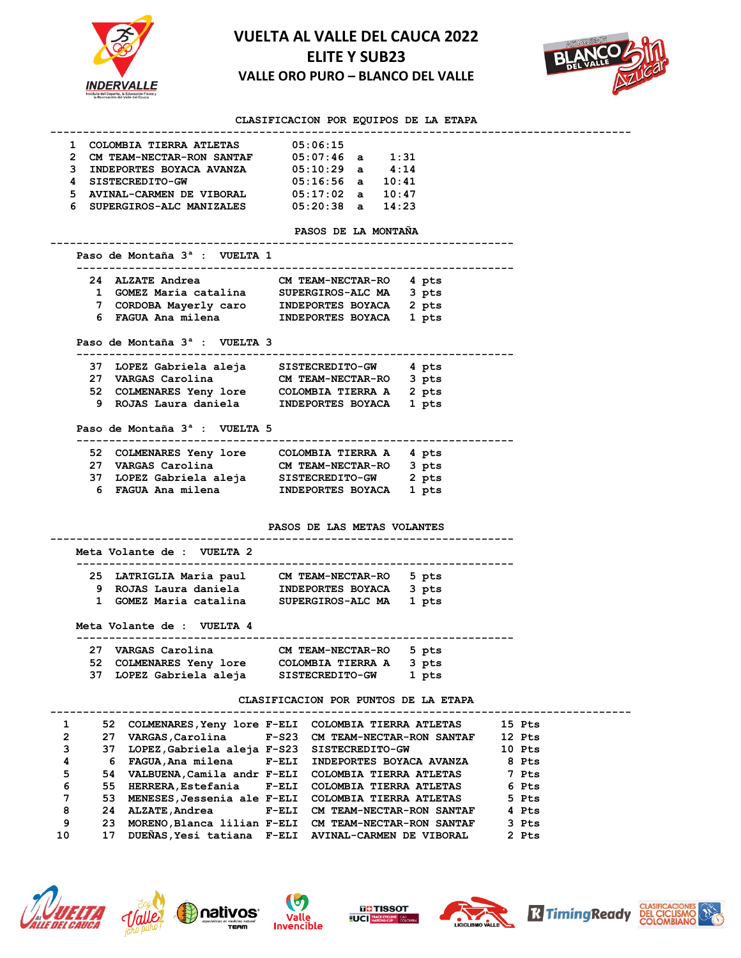



### **CLASIFICACION POR EQUIPOS DE LA ETAPA**

|    | 1 COLOMBIA TIERRA ATLETAS 05:06:15              |                             |  |
|----|-------------------------------------------------|-----------------------------|--|
| 2  | CM TEAM-NECTAR-RON SANTAF 05:07:46 a 1:31       |                             |  |
| 3  | INDEPORTES BOYACA AVANZA 05:10:29 a 4:14        |                             |  |
| 4  | SISTECREDITO-GW                                 | $05:16:56$ a $10:41$        |  |
| 5. | AVINAL-CARMEN DE VIBORAL 05:17:02 a 10:47       |                             |  |
| 6  | SUPERGIROS-ALC MANIZALES                        | $05:20:38$ a $14:23$        |  |
|    |                                                 | PASOS DE LA MONTAÑA         |  |
|    | Paso de Montaña 3 <sup>ª</sup> : VUELTA 1       |                             |  |
|    | 24 ALZATE Andrea                                | CM TEAM-NECTAR-RO 4 pts     |  |
|    | 1 GOMEZ Maria catalina SUPERGIROS-ALC MA 3 pts  |                             |  |
|    | 7 CORDOBA Mayerly caro INDEPORTES BOYACA 2 pts  |                             |  |
|    | 6 FAGUA Ana milena MINDEPORTES BOYACA 1 pts     |                             |  |
|    | Paso de Montaña 3 <sup>ª</sup> : VUELTA 3       |                             |  |
|    | 37 LOPEZ Gabriela aleja SISTECREDITO-GW 4 pts   |                             |  |
|    | 27 VARGAS Carolina CM TEAM-NECTAR-RO 3 pts      |                             |  |
|    | 52 COLMENARES Yeny lore COLOMBIA TIERRA A 2 pts |                             |  |
|    | 9 ROJAS Laura daniela INDEPORTES BOYACA 1 pts   |                             |  |
|    | Paso de Montaña 3 <sup>ª</sup> : VUELTA 5       |                             |  |
|    | 52 COLMENARES Yeny lore COLOMBIA TIERRA A 4 pts |                             |  |
|    | 27 VARGAS Carolina CM TEAM-NECTAR-RO 3 pts      |                             |  |
|    | 37 LOPEZ Gabriela aleja SISTECREDITO-GW 2 pts   |                             |  |
|    | 6 FAGUA Ana milena                              | INDEPORTES BOYACA 1 pts     |  |
|    |                                                 | PASOS DE LAS METAS VOLANTES |  |
|    | Meta Volante de : VUELTA 2                      |                             |  |
|    | 25 LATRIGLIA Maria paul CM TEAM-NECTAR-RO 5 pts |                             |  |
|    | 9 ROJAS Laura daniela INDEPORTES BOYACA 3 pts   |                             |  |
|    | 1 GOMEZ Maria catalina                          | SUPERGIROS-ALC MA 1 pts     |  |
|    |                                                 |                             |  |

 **Meta Volante de : VUELTA 4**

| 27 VARGAS Carolina      | CM TEAM-NECTAR-RO 5 pts |       |
|-------------------------|-------------------------|-------|
| 52 COLMENARES Yeny lore | COLOMBIA TIERRA A 3 pts |       |
| 37 LOPEZ Gabriela aleja | SISTECREDITO-GW         | 1 pts |

**CLASIFICACION POR PUNTOS DE LA ETAPA**

| 1              |    |  | 52 COLMENARES, Yeny lore F-ELI COLOMBIA TIERRA ATLETAS | 15 Pts |
|----------------|----|--|--------------------------------------------------------|--------|
| $\overline{2}$ | 27 |  | VARGAS, Carolina F-S23 CM TEAM-NECTAR-RON SANTAF       | 12 Pts |
| 3              |    |  | 37 LOPEZ, Gabriela aleja F-S23 SISTECREDITO-GW         | 10 Pts |
| 4              | 6  |  | FAGUA,Ana milena     F-ELI INDEPORTES BOYACA AVANZA    | 8 Pts  |
| 5              |    |  | 54 VALBUENA, Camila andr F-ELI COLOMBIA TIERRA ATLETAS | 7 Pts  |
| 6              |    |  | 55 HERRERA, Estefania - F-ELI COLOMBIA TIERRA ATLETAS  | 6 Pts  |
| 7              | 53 |  | MENESES,Jessenia ale F-ELI COLOMBIA TIERRA ATLETAS     | 5 Pts  |
| 8              | 24 |  | ALZATE,Andrea     F-ELI CM TEAM-NECTAR-RON SANTAF      | 4 Pts  |
| 9              | 23 |  | MORENO,Blanca lilian F-ELI CM TEAM-NECTAR-RON SANTAF   | 3 Pts  |
| 10             | 17 |  | DUENAS, Yesi tatiana F-ELI AVINAL-CARMEN DE VIBORAL    | 2 Pts  |
|                |    |  |                                                        |        |













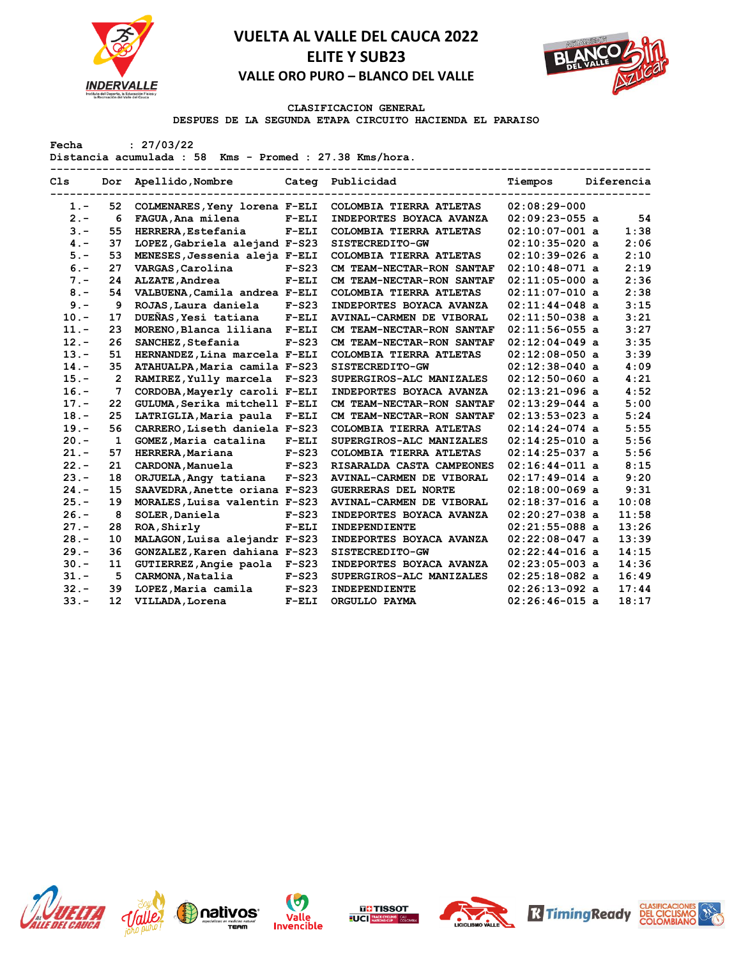



#### **CLASIFICACION GENERAL**

**DESPUES DE LA SEGUNDA ETAPA CIRCUITO HACIENDA EL PARAISO**

**Fecha : 27/03/22**

**Distancia acumulada : 58 Kms - Promed : 27.38 Kms/hora.**

| C1s     |                 | Dor Apellido, Nombre          |         | Categ Publicidad           | Tiempos          | Diferencia |
|---------|-----------------|-------------------------------|---------|----------------------------|------------------|------------|
| $1 -$   | 52              | COLMENARES, Yeny lorena F-ELI |         | COLOMBIA TIERRA ATLETAS    | $02:08:29-000$   |            |
| $2 -$   | 6               | FAGUA, Ana milena             | $F-ELI$ | INDEPORTES BOYACA AVANZA   | $02:09:23-055$ a | 54         |
| $3 -$   | 55              | HERRERA, Estefania            | $F-ELI$ | COLOMBIA TIERRA ATLETAS    | $02:10:07-001$ a | 1:38       |
| $4 -$   | 37              | LOPEZ, Gabriela alejand F-S23 |         | SISTECREDITO-GW            | $02:10:35-020$ a | 2:06       |
| $5. -$  | 53              | MENESES, Jessenia aleja F-ELI |         | COLOMBIA TIERRA ATLETAS    | $02:10:39-026$ a | 2:10       |
| $6. -$  | 27              | VARGAS, Carolina              | $F-S23$ | CM TEAM-NECTAR-RON SANTAF  | $02:10:48-071$ a | 2:19       |
| $7 -$   | 24              | ALZATE, Andrea                | $F-ELI$ | CM TEAM-NECTAR-RON SANTAF  | $02:11:05-000$ a | 2:36       |
| $8 -$   | 54              | VALBUENA, Camila andrea F-ELI |         | COLOMBIA TIERRA ATLETAS    | $02:11:07-010$ a | 2:38       |
| $9 -$   | 9               | ROJAS, Laura daniela          | $F-S23$ | INDEPORTES BOYACA AVANZA   | $02:11:44-048$ a | 3:15       |
| $10. -$ | 17              | DUEÑAS, Yesi tatiana          | $F-ELI$ | AVINAL-CARMEN DE VIBORAL   | $02:11:50-038$ a | 3:21       |
| $11. -$ | 23              | MORENO, Blanca liliana F-ELI  |         | CM TEAM-NECTAR-RON SANTAF  | $02:11:56-055$ a | 3:27       |
| $12 -$  | 26              | SANCHEZ, Stefania             | $F-S23$ | CM TEAM-NECTAR-RON SANTAF  | $02:12:04-049$ a | 3:35       |
| $13 -$  | 51              | HERNANDEZ, Lina marcela F-ELI |         | COLOMBIA TIERRA ATLETAS    | $02:12:08-050$ a | 3:39       |
| $14. -$ | 35              | ATAHUALPA, Maria camila F-S23 |         | SISTECREDITO-GW            | $02:12:38-040$ a | 4:09       |
| $15. -$ | $\overline{2}$  | RAMIREZ, Yully marcela F-S23  |         | SUPERGIROS-ALC MANIZALES   | $02:12:50-060$ a | 4:21       |
| $16. -$ | $\overline{7}$  | CORDOBA, Mayerly caroli F-ELI |         | INDEPORTES BOYACA AVANZA   | $02:13:21-096$ a | 4:52       |
| $17. -$ | 22              | GULUMA, Serika mitchell F-ELI |         | CM TEAM-NECTAR-RON SANTAF  | $02:13:29-044$ a | 5:00       |
| $18. -$ | 25              | LATRIGLIA, Maria paula F-ELI  |         | CM TEAM-NECTAR-RON SANTAF  | $02:13:53-023$ a | 5:24       |
| $19. -$ | 56              | CARRERO, Liseth daniela F-S23 |         | COLOMBIA TIERRA ATLETAS    | $02:14:24-074$ a | 5:55       |
| $20 -$  | 1               | GOMEZ, Maria catalina         | $F-ELI$ | SUPERGIROS-ALC MANIZALES   | $02:14:25-010$ a | 5:56       |
| $21 -$  | 57              | HERRERA, Mariana              | $F-S23$ | COLOMBIA TIERRA ATLETAS    | $02:14:25-037$ a | 5:56       |
| $22 -$  | 21              | CARDONA, Manuela              | $F-S23$ | RISARALDA CASTA CAMPEONES  | $02:16:44-011$ a | 8:15       |
| $23 -$  | 18              | ORJUELA, Angy tatiana         | $F-S23$ | AVINAL-CARMEN DE VIBORAL   | $02:17:49-014$ a | 9:20       |
| $24. -$ | 15              | SAAVEDRA, Anette oriana F-S23 |         | <b>GUERRERAS DEL NORTE</b> | $02:18:00-069$ a | 9:31       |
| $25. -$ | 19              | MORALES, Luisa valentin F-S23 |         | AVINAL-CARMEN DE VIBORAL   | $02:18:37-016$ a | 10:08      |
| $26. -$ | 8               | SOLER, Daniela                | $F-S23$ | INDEPORTES BOYACA AVANZA   | $02:20:27-038$ a | 11:58      |
| $27 -$  | 28              | ROA, Shirly                   | $F-ELI$ | <b>INDEPENDIENTE</b>       | $02:21:55-088$ a | 13:26      |
| $28 -$  | 10              | MALAGON, Luisa alejandr F-S23 |         | INDEPORTES BOYACA AVANZA   | $02:22:08-047$ a | 13:39      |
| $29. -$ | 36              | GONZALEZ, Karen dahiana F-S23 |         | SISTECREDITO-GW            | $02:22:44-016$ a | 14:15      |
| $30 -$  | 11              | GUTIERREZ, Angie paola F-S23  |         | INDEPORTES BOYACA AVANZA   | $02:23:05-003$ a | 14:36      |
| $31 -$  | 5               | CARMONA, Natalia              | $F-S23$ | SUPERGIROS-ALC MANIZALES   | $02:25:18-082$ a | 16:49      |
| $32 -$  | 39              | LOPEZ, Maria camila           | $F-S23$ | <b>INDEPENDIENTE</b>       | $02:26:13-092$ a | 17:44      |
| $33 -$  | 12 <sup>2</sup> | VILLADA, Lorena               | $F-ELI$ | ORGULLO PAYMA              | $02:26:46-015$ a | 18:17      |













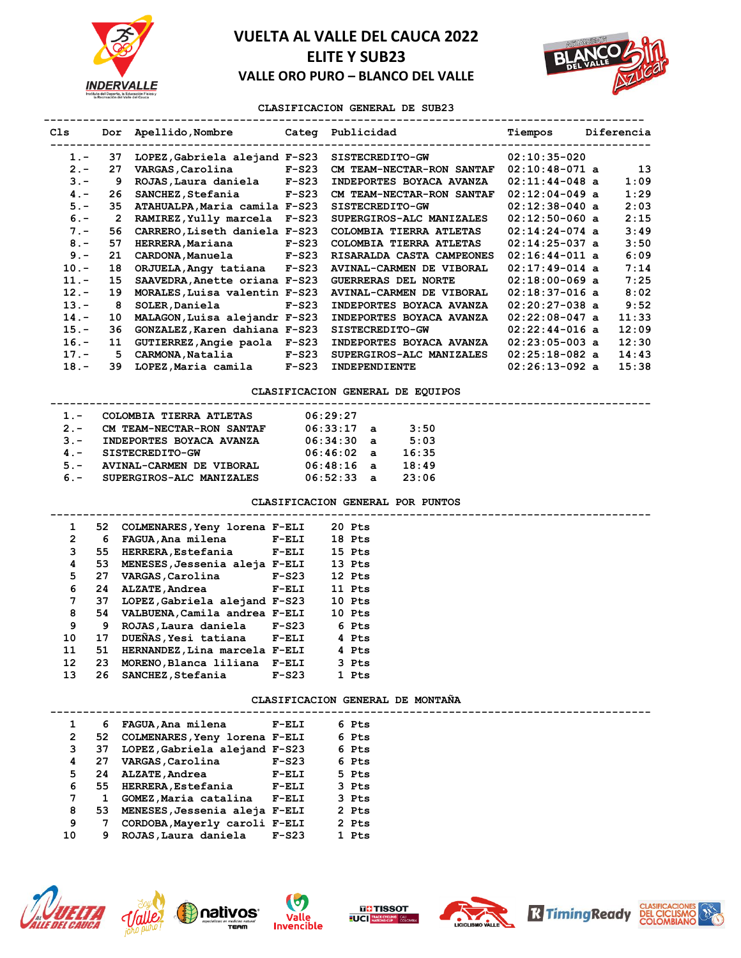



#### **CLASIFICACION GENERAL DE SUB23**

| Cls.    | Dor            | Apellido,Nombre               |         | Categ Publicidad           | Tiempos          | Diferencia |
|---------|----------------|-------------------------------|---------|----------------------------|------------------|------------|
| $1 -$   | 37             | LOPEZ, Gabriela alejand F-S23 |         | SISTECREDITO-GW            | $02:10:35-020$   |            |
| $2 -$   | 27             | VARGAS, Carolina              | $F-S23$ | CM TEAM-NECTAR-RON SANTAF  | $02:10:48-071$ a | 13         |
| $3 -$   | 9              | ROJAS, Laura daniela F-S23    |         | INDEPORTES BOYACA AVANZA   | $02:11:44-048$ a | 1:09       |
| $4 -$   | 26             | SANCHEZ, Stefania             | $F-S23$ | CM TEAM-NECTAR-RON SANTAF  | $02:12:04-049$ a | 1:29       |
| $5 -$   | 35             | ATAHUALPA, Maria camila F-S23 |         | SISTECREDITO-GW            | $02:12:38-040$ a | 2:03       |
| $6 -$   | $\overline{2}$ | RAMIREZ, Yully marcela F-S23  |         | SUPERGIROS-ALC MANIZALES   | $02:12:50-060$ a | 2:15       |
| $7 -$   | 56             | CARRERO, Liseth daniela F-S23 |         | COLOMBIA TIERRA ATLETAS    | $02:14:24-074$ a | 3:49       |
| $8 -$   | 57             | HERRERA, Mariana              | $F-S23$ | COLOMBIA TIERRA ATLETAS    | $02:14:25-037$ a | 3:50       |
| $9 -$   | 21             | CARDONA, Manuela F-S23        |         | RISARALDA CASTA CAMPEONES  | $02:16:44-011$ a | 6:09       |
| $10. -$ | 18             | ORJUELA, Angy tatiana F-S23   |         | AVINAL-CARMEN DE VIBORAL   | $02:17:49-014$ a | 7:14       |
| $11. -$ | 15             | SAAVEDRA, Anette oriana F-S23 |         | <b>GUERRERAS DEL NORTE</b> | $02:18:00-069$ a | 7:25       |
| $12 -$  | 19             | MORALES, Luisa valentin F-S23 |         | AVINAL-CARMEN DE VIBORAL   | $02:18:37-016$ a | 8:02       |
| $13 -$  | 8              | SOLER, Daniela                | $F-S23$ | INDEPORTES BOYACA AVANZA   | $02:20:27-038$ a | 9:52       |
| $14. -$ | 10             | MALAGON, Luisa alejandr F-S23 |         | INDEPORTES BOYACA AVANZA   | $02:22:08-047$ a | 11:33      |
| $15. -$ | 36             | GONZALEZ, Karen dahiana F-S23 |         | SISTECREDITO-GW            | $02:22:44-016$ a | 12:09      |
| $16. -$ | 11             | GUTIERREZ, Angie paola F-S23  |         | INDEPORTES BOYACA AVANZA   | $02:23:05-003$ a | 12:30      |
| $17. -$ | 5              | CARMONA, Natalia              | $F-S23$ | SUPERGIROS-ALC MANIZALES   | $02:25:18-082$ a | 14:43      |
| $18. -$ | 39             | LOPEZ, Maria camila           | $F-S23$ | <b>INDEPENDIENTE</b>       | $02:26:13-092$ a | 15:38      |
|         |                |                               |         |                            |                  |            |

**CLASIFICACION GENERAL DE EQUIPOS --------------------------------------------------------------------------------------------**

| $1 -$ | COLOMBIA TIERRA ATLETAS   | 06:29:27 |                |       |
|-------|---------------------------|----------|----------------|-------|
| $2 -$ | CM TEAM-NECTAR-RON SANTAF | 06:33:17 | - a            | 3:50  |
|       |                           |          |                |       |
| $3 -$ | INDEPORTES BOYACA AVANZA  | 06:34:30 | - a            | 5:03  |
| $4 -$ | SISTECREDITO-GW           | 06:46:02 | - a            | 16:35 |
| $5 -$ | AVINAL-CARMEN DE VIBORAL  | 06:48:16 | $\overline{a}$ | 18:49 |
| $6 -$ | SUPERGIROS-ALC MANIZALES  | 06:52:33 | $\overline{a}$ | 23:06 |

#### **CLASIFICACION GENERAL POR PUNTOS**

| 1  | 52 <sub>2</sub> | COLMENARES, Yeny lorena F-ELI |         | 20 Pts |
|----|-----------------|-------------------------------|---------|--------|
| 2  | 6               | FAGUA, Ana milena             | $F-ELI$ | 18 Pts |
| 3  | 55              | HERRERA, Estefania            | $F-ELI$ | 15 Pts |
| 4  | 53              | MENESES, Jessenia aleja       | $F-ELI$ | 13 Pts |
| 5  | 27              | VARGAS, Carolina              | $F-S23$ | 12 Pts |
| 6  | 24              | ALZATE, Andrea                | $F-ELI$ | 11 Pts |
| 7  | 37              | LOPEZ, Gabriela alejand F-S23 |         | 10 Pts |
| 8  | 54              | VALBUENA, Camila andrea F-ELI |         | 10 Pts |
| 9  | 9               | ROJAS, Laura daniela F-S23    |         | 6 Pts  |
| 10 | 17              | DUEÑAS, Yesi tatiana          | $F-ELI$ | 4 Pts  |
| 11 | 51              | HERNANDEZ, Lina marcela F-ELI |         | 4 Pts  |
| 12 | 23              | MORENO, Blanca liliana        | $F-ELI$ | 3 Pts  |
| 13 | 26              | SANCHEZ, Stefania             | $F-S23$ | 1 Pts  |
|    |                 |                               |         |        |

#### **CLASIFICACION GENERAL DE MONTAÑA**

| 1            | 6  | FAGUA, Ana milena             | $F-ELI$ | 6 Pts |
|--------------|----|-------------------------------|---------|-------|
| $\mathbf{2}$ | 52 | COLMENARES, Yeny lorena F-ELI |         | 6 Pts |
| 3            | 37 | LOPEZ, Gabriela alejand F-S23 |         | 6 Pts |
| 4            | 27 | VARGAS, Carolina              | $F-S23$ | 6 Pts |
| 5            | 24 | ALZATE, Andrea                | $F-ELI$ | 5 Pts |
| 6            | 55 | HERRERA, Estefania            | $F-ELI$ | 3 Pts |
| 7            | 1  | GOMEZ, Maria catalina         | $F-ELI$ | 3 Pts |
| 8            | 53 | MENESES, Jessenia aleja F-ELI |         | 2 Pts |
| 9            | 7  | CORDOBA, Mayerly caroli F-ELI |         | 2 Pts |
| 10           | 9  | ROJAS, Laura daniela          | $F-S23$ | Pts   |
|              |    |                               |         |       |











**--------------------------------------------------------------------------------------------**

**--------------------------------------------------------------------------------------------**



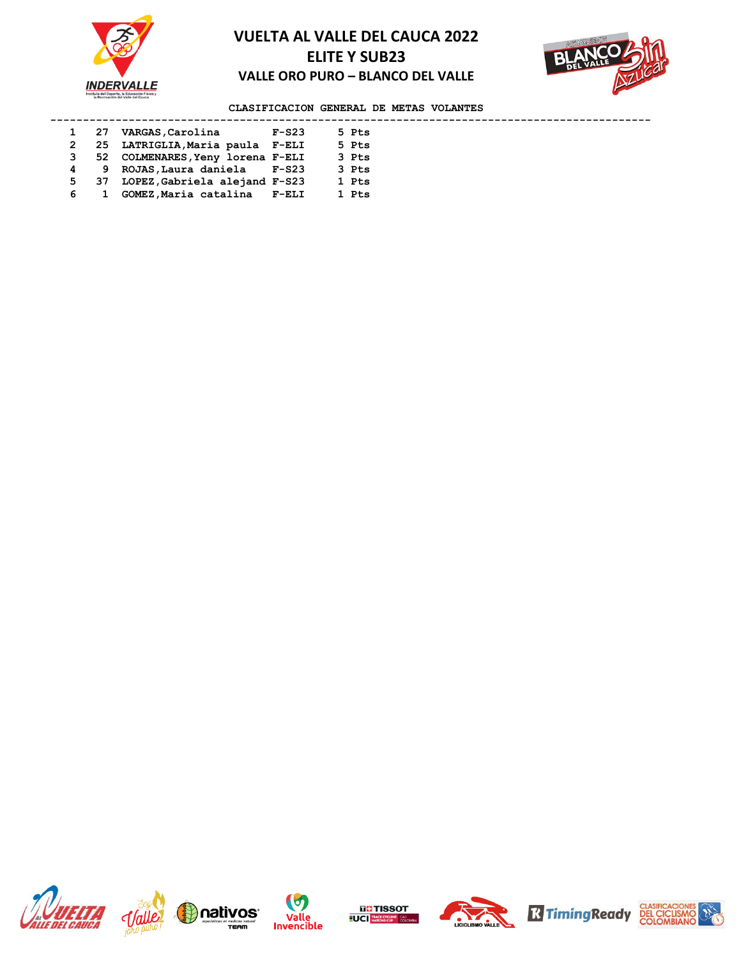



**CLASIFICACION GENERAL DE METAS VOLANTES** 

| 1 27         |    | VARGAS, Carolina                   | $F-S23$ | 5 Pts |
|--------------|----|------------------------------------|---------|-------|
|              |    | 2 25 LATRIGLIA, Maria paula F-ELI  |         | 5 Pts |
| $\mathbf{3}$ |    | 52 COLMENARES, Yeny lorena F-ELI   |         | 3 Pts |
| 4            | 9. | ROJAS, Laura daniela F-S23         |         | 3 Pts |
|              |    | 5 37 LOPEZ, Gabriela alejand F-S23 |         | 1 Pts |
| 6            |    | GOMEZ, Maria catalina F-ELI        |         | 1 Pts |
|              |    |                                    |         |       |













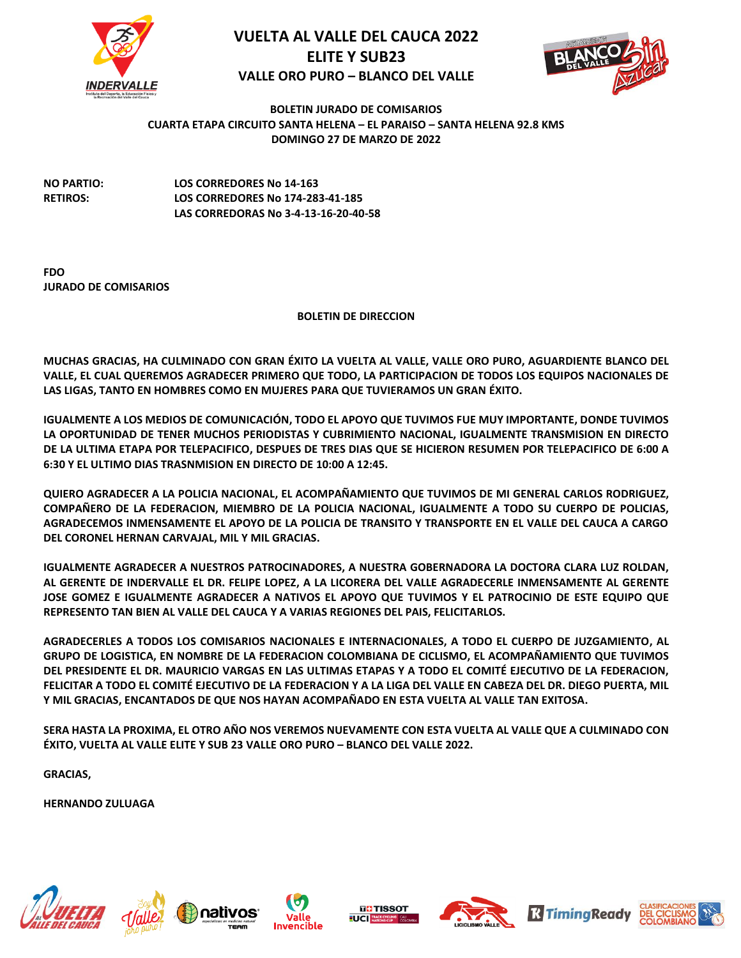



**BOLETIN JURADO DE COMISARIOS CUARTA ETAPA CIRCUITO SANTA HELENA – EL PARAISO – SANTA HELENA 92.8 KMS DOMINGO 27 DE MARZO DE 2022**

**NO PARTIO: LOS CORREDORES No 14-163 RETIROS: LOS CORREDORES No 174-283-41-185 LAS CORREDORAS No 3-4-13-16-20-40-58**

**FDO JURADO DE COMISARIOS**

**BOLETIN DE DIRECCION**

**MUCHAS GRACIAS, HA CULMINADO CON GRAN ÉXITO LA VUELTA AL VALLE, VALLE ORO PURO, AGUARDIENTE BLANCO DEL VALLE, EL CUAL QUEREMOS AGRADECER PRIMERO QUE TODO, LA PARTICIPACION DE TODOS LOS EQUIPOS NACIONALES DE LAS LIGAS, TANTO EN HOMBRES COMO EN MUJERES PARA QUE TUVIERAMOS UN GRAN ÉXITO.**

**IGUALMENTE A LOS MEDIOS DE COMUNICACIÓN, TODO EL APOYO QUE TUVIMOS FUE MUY IMPORTANTE, DONDE TUVIMOS LA OPORTUNIDAD DE TENER MUCHOS PERIODISTAS Y CUBRIMIENTO NACIONAL, IGUALMENTE TRANSMISION EN DIRECTO DE LA ULTIMA ETAPA POR TELEPACIFICO, DESPUES DE TRES DIAS QUE SE HICIERON RESUMEN POR TELEPACIFICO DE 6:00 A 6:30 Y EL ULTIMO DIAS TRASNMISION EN DIRECTO DE 10:00 A 12:45.**

**QUIERO AGRADECER A LA POLICIA NACIONAL, EL ACOMPAÑAMIENTO QUE TUVIMOS DE MI GENERAL CARLOS RODRIGUEZ, COMPAÑERO DE LA FEDERACION, MIEMBRO DE LA POLICIA NACIONAL, IGUALMENTE A TODO SU CUERPO DE POLICIAS, AGRADECEMOS INMENSAMENTE EL APOYO DE LA POLICIA DE TRANSITO Y TRANSPORTE EN EL VALLE DEL CAUCA A CARGO DEL CORONEL HERNAN CARVAJAL, MIL Y MIL GRACIAS.**

**IGUALMENTE AGRADECER A NUESTROS PATROCINADORES, A NUESTRA GOBERNADORA LA DOCTORA CLARA LUZ ROLDAN, AL GERENTE DE INDERVALLE EL DR. FELIPE LOPEZ, A LA LICORERA DEL VALLE AGRADECERLE INMENSAMENTE AL GERENTE JOSE GOMEZ E IGUALMENTE AGRADECER A NATIVOS EL APOYO QUE TUVIMOS Y EL PATROCINIO DE ESTE EQUIPO QUE REPRESENTO TAN BIEN AL VALLE DEL CAUCA Y A VARIAS REGIONES DEL PAIS, FELICITARLOS.** 

**AGRADECERLES A TODOS LOS COMISARIOS NACIONALES E INTERNACIONALES, A TODO EL CUERPO DE JUZGAMIENTO, AL GRUPO DE LOGISTICA, EN NOMBRE DE LA FEDERACION COLOMBIANA DE CICLISMO, EL ACOMPAÑAMIENTO QUE TUVIMOS DEL PRESIDENTE EL DR. MAURICIO VARGAS EN LAS ULTIMAS ETAPAS Y A TODO EL COMITÉ EJECUTIVO DE LA FEDERACION, FELICITAR A TODO EL COMITÉ EJECUTIVO DE LA FEDERACION Y A LA LIGA DEL VALLE EN CABEZA DEL DR. DIEGO PUERTA, MIL Y MIL GRACIAS, ENCANTADOS DE QUE NOS HAYAN ACOMPAÑADO EN ESTA VUELTA AL VALLE TAN EXITOSA.** 

**SERA HASTA LA PROXIMA, EL OTRO AÑO NOS VEREMOS NUEVAMENTE CON ESTA VUELTA AL VALLE QUE A CULMINADO CON ÉXITO, VUELTA AL VALLE ELITE Y SUB 23 VALLE ORO PURO – BLANCO DEL VALLE 2022.**

**GRACIAS,** 

**HERNANDO ZULUAGA**